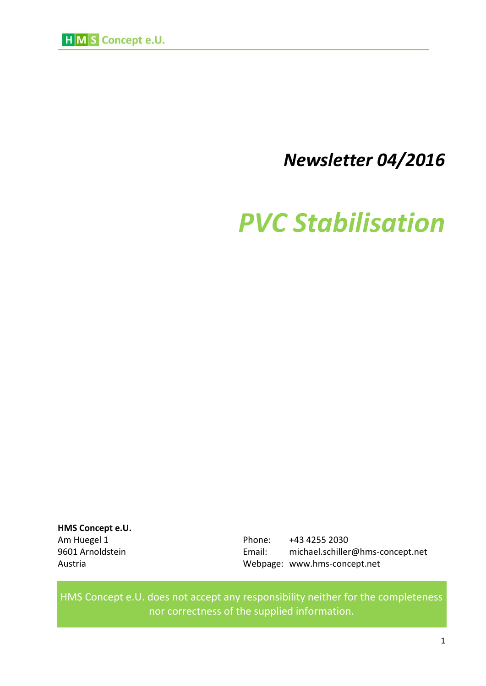

# *Newsletter 04/2016*

# *PVC Stabilisation*

**HMS Concept e.U.**

Am Huegel 1 **Phone:** +43 4255 2030 9601 Arnoldstein Email: michael.schiller@hms-concept.net Austria Webpage: www.hms-concept.net

HMS Concept e.U. does not accept any responsibility neither for the completeness nor correctness of the supplied information.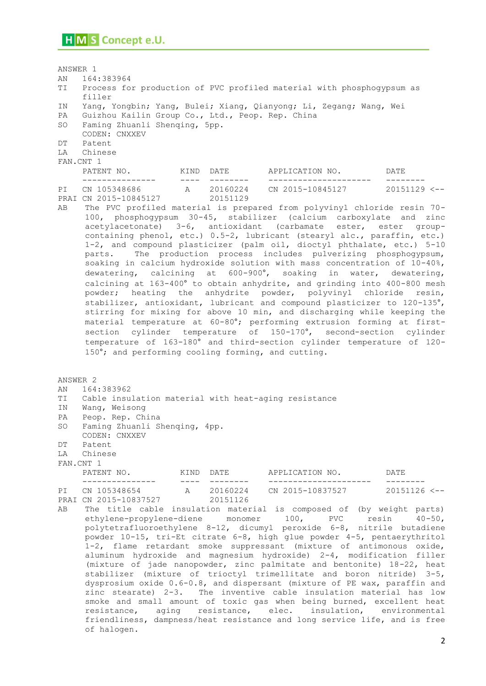ANSWER 1 AN 164:383964 TI Process for production of PVC profiled material with phosphogypsum as filler IN Yang, Yongbin; Yang, Bulei; Xiang, Qianyong; Li, Zegang; Wang, Wei PA Guizhou Kailin Group Co., Ltd., Peop. Rep. China SO Faming Zhuanli Shenqing, 5pp. CODEN: CNXXEV DT Patent LA Chinese FAN.CNT 1 PATENT NO. KIND DATE APPLICATION NO. DATE --------------- ---- -------- --------------------- -------- A 20160224 CN 2015-10845127 20151129 <--P1 CN 105348686<br>PRAI CN 2015-10845127 20151129 AB The PVC profiled material is prepared from polyvinyl chloride resin 70- 100, phosphogypsum 30-45, stabilizer (calcium carboxylate and zinc acetylacetonate) 3-6, antioxidant (carbamate ester, ester groupcontaining phenol, etc.) 0.5-2, lubricant (stearyl alc., paraffin, etc.) 1-2, and compound plasticizer (palm oil, dioctyl phthalate, etc.) 5-10 parts. The production process includes pulverizing phosphogypsum, soaking in calcium hydroxide solution with mass concentration of 10-40%, dewatering, calcining at 600-900°, soaking in water, dewatering, calcining at 163-400° to obtain anhydrite, and grinding into 400-800 mesh powder; heating the anhydrite powder, polyvinyl chloride resin, stabilizer, antioxidant, lubricant and compound plasticizer to 120-135°, stirring for mixing for above 10 min, and discharging while keeping the material temperature at 60-80°; performing extrusion forming at firstsection cylinder temperature of 150-170°, second-section cylinder temperature of 163-180° and third-section cylinder temperature of 120- 150°; and performing cooling forming, and cutting. ANSWER 2 AN 164:383962 TI Cable insulation material with heat-aging resistance IN Wang, Weisong PA Peop. Rep. China SO Faming Zhuanli Shenqing, 4pp. CODEN: CNXXEV DT Patent LA Chinese FAN.CNT 1 PATENT NO. KIND DATE APPLICATION NO. DATE --------------- ---- -------- --------------------- -------- PI CN 105348654 A 20160224 CN 2015-10837527 20151126 <-- PRAI CN 2015-10837527 20151126 AB The title cable insulation material is composed of (by weight parts) ethylene-propylene-diene monomer 100, PVC resin 40-50, polytetrafluoroethylene 8-12, dicumyl peroxide 6-8, nitrile butadiene powder 10-15, tri-Et citrate 6-8, high glue powder 4-5, pentaerythritol 1-2, flame retardant smoke suppressant (mixture of antimonous oxide, aluminum hydroxide and magnesium hydroxide) 2-4, modification filler (mixture of jade nanopowder, zinc palmitate and bentonite) 18-22, heat stabilizer (mixture of trioctyl trimellitate and boron nitride) 3-5, dysprosium oxide 0.6-0.8, and dispersant (mixture of PE wax, paraffin and zinc stearate) 2-3. The inventive cable insulation material has low smoke and small amount of toxic gas when being burned, excellent heat resistance, aging resistance, elec. insulation, environmental friendliness, dampness/heat resistance and long service life, and is free

of halogen.

2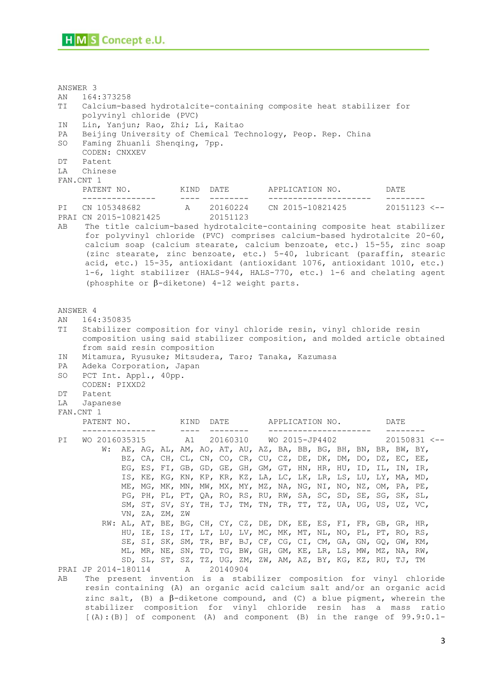ANSWER 3 AN 164:373258 TI Calcium-based hydrotalcite-containing composite heat stabilizer for polyvinyl chloride (PVC) IN Lin, Yanjun; Rao, Zhi; Li, Kaitao PA Beijing University of Chemical Technology, Peop. Rep. China SO Faming Zhuanli Shenqing, 7pp. CODEN: CNXXEV DT Patent LA Chinese FAN.CNT 1 PATENT NO. KIND DATE APPLICATION NO. DATE --------------- ---- -------- --------------------- -------- A 20160224 CN 2015-10821425 20151123 <--PRAI CN 2015-10821425 20151123 AB The title calcium-based hydrotalcite-containing composite heat stabilizer for polyvinyl chloride (PVC) comprises calcium-based hydrotalcite 20-60, calcium soap (calcium stearate, calcium benzoate, etc.) 15-55, zinc soap (zinc stearate, zinc benzoate, etc.) 5-40, lubricant (paraffin, stearic acid, etc.) 15-35, antioxidant (antioxidant 1076, antioxidant 1010, etc.) 1-6, light stabilizer (HALS-944, HALS-770, etc.) 1-6 and chelating agent (phosphite or  $\beta$ -diketone) 4-12 weight parts. ANSWER 4 AN 164:350835 TI Stabilizer composition for vinyl chloride resin, vinyl chloride resin composition using said stabilizer composition, and molded article obtained from said resin composition IN Mitamura, Ryusuke; Mitsudera, Taro; Tanaka, Kazumasa PA Adeka Corporation, Japan SO PCT Int. Appl., 40pp. CODEN: PIXXD2 DT Patent LA Japanese FAN.CNT 1<br>PATENT NO. PATENT NO. KIND DATE APPLICATION NO. DATE --------------- ---- -------- --------------------- -------- PI WO 2016035315 A1 20160310 WO 2015-JP4402 20150831 <-- W: AE, AG, AL, AM, AO, AT, AU, AZ, BA, BB, BG, BH, BN, BR, BW, BY, BZ, CA, CH, CL, CN, CO, CR, CU, CZ, DE, DK, DM, DO, DZ, EC, EE, EG, ES, FI, GB, GD, GE, GH, GM, GT, HN, HR, HU, ID, IL, IN, IR, IS, KE, KG, KN, KP, KR, KZ, LA, LC, LK, LR, LS, LU, LY, MA, MD, ME, MG, MK, MN, MW, MX, MY, MZ, NA, NG, NI, NO, NZ, OM, PA, PE, PG, PH, PL, PT, QA, RO, RS, RU, RW, SA, SC, SD, SE, SG, SK, SL, SM, ST, SV, SY, TH, TJ, TM, TN, TR, TT, TZ, UA, UG, US, UZ, VC, VN, ZA, ZM, ZW RW: AL, AT, BE, BG, CH, CY, CZ, DE, DK, EE, ES, FI, FR, GB, GR, HR, HU, IE, IS, IT, LT, LU, LV, MC, MK, MT, NL, NO, PL, PT, RO, RS, SE, SI, SK, SM, TR, BF, BJ, CF, CG, CI, CM, GA, GN, GQ, GW, KM, ML, MR, NE, SN, TD, TG, BW, GH, GM, KE, LR, LS, MW, MZ, NA, RW, SD, SL, ST, SZ, TZ, UG, ZM, ZW, AM, AZ, BY, KG, KZ, RU, TJ, TM PRAI JP 2014-180114 A 20140904 AB The present invention is a stabilizer composition for vinyl chloride resin containing (A) an organic acid calcium salt and/or an organic acid zinc salt, (B) a  $\beta$ -diketone compound, and (C) a blue pigment, wherein the

stabilizer composition for vinyl chloride resin has a mass ratio [(A):(B)] of component (A) and component (B) in the range of 99.9:0.1-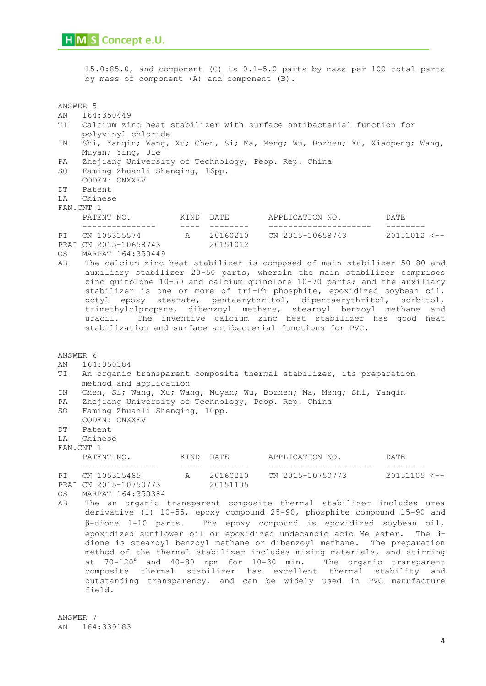|                                                    | 15.0:85.0, and component (C) is 0.1-5.0 parts by mass per 100 total parts<br>by mass of component (A) and component (B).                                                                                                                                                                                                                               |                                                                                                                                                                                                                                                                                                                                                                                              |                                             |                                                |                                                                                                                                                                                                                                                                                                                                                                                                                                                                                                                                                                                                             |  |  |  |
|----------------------------------------------------|--------------------------------------------------------------------------------------------------------------------------------------------------------------------------------------------------------------------------------------------------------------------------------------------------------------------------------------------------------|----------------------------------------------------------------------------------------------------------------------------------------------------------------------------------------------------------------------------------------------------------------------------------------------------------------------------------------------------------------------------------------------|---------------------------------------------|------------------------------------------------|-------------------------------------------------------------------------------------------------------------------------------------------------------------------------------------------------------------------------------------------------------------------------------------------------------------------------------------------------------------------------------------------------------------------------------------------------------------------------------------------------------------------------------------------------------------------------------------------------------------|--|--|--|
| ANSWER 5<br>AN<br>TI<br>ΙN<br>PA<br>SO<br>DT<br>LA | 164:350449<br>Calcium zinc heat stabilizer with surface antibacterial function for<br>polyvinyl chloride<br>Shi, Yanqin; Wang, Xu; Chen, Si; Ma, Meng; Wu, Bozhen; Xu, Xiaopeng; Wang,<br>Muyan; Ying, Jie<br>Zhejiang University of Technology, Peop. Rep. China<br>Faming Zhuanli Shenging, 16pp.<br>CODEN: CNXXEV<br>Patent<br>Chinese<br>FAN.CNT 1 |                                                                                                                                                                                                                                                                                                                                                                                              |                                             |                                                |                                                                                                                                                                                                                                                                                                                                                                                                                                                                                                                                                                                                             |  |  |  |
|                                                    | PATENT NO. KIND DATE                                                                                                                                                                                                                                                                                                                                   |                                                                                                                                                                                                                                                                                                                                                                                              |                                             | APPLICATION NO. DATE                           |                                                                                                                                                                                                                                                                                                                                                                                                                                                                                                                                                                                                             |  |  |  |
| PI<br><b>OS</b><br>AB                              | ----------------<br>CN 105315574 A 20160210 CN 2015-10658743 20151012 <--<br>PRAI CN 2015-10658743<br>MARPAT 164:350449<br>uracil.<br>stabilization and surface antibacterial functions for PVC.                                                                                                                                                       | $\qquad \qquad - - - -$                                                                                                                                                                                                                                                                                                                                                                      | 20151012                                    |                                                | The calcium zinc heat stabilizer is composed of main stabilizer 50-80 and<br>auxiliary stabilizer 20-50 parts, wherein the main stabilizer comprises<br>zinc quinolone 10-50 and calcium quinolone 10-70 parts; and the auxiliary<br>stabilizer is one or more of tri-Ph phosphite, epoxidized soybean oil,<br>octyl epoxy stearate, pentaerythritol, dipentaerythritol, sorbitol,<br>trimethylolpropane, dibenzoyl methane, stearoyl benzoyl methane and<br>The inventive calcium zinc heat stabilizer has good heat                                                                                       |  |  |  |
| ANSWER 6<br>AN<br>ΤI<br>ΙN<br>PA<br>SO<br>DT<br>LA | 164:350384<br>An organic transparent composite thermal stabilizer, its preparation<br>method and application<br>Chen, Si; Wang, Xu; Wang, Muyan; Wu, Bozhen; Ma, Meng; Shi, Yanqin<br>Zhejiang University of Technology, Peop. Rep. China<br>Faming Zhuanli Shenqing, 10pp.<br>CODEN: CNXXEV<br>Patent<br>Chinese<br>FAN.CNT 1                         |                                                                                                                                                                                                                                                                                                                                                                                              |                                             |                                                |                                                                                                                                                                                                                                                                                                                                                                                                                                                                                                                                                                                                             |  |  |  |
| PI<br>OS.<br>AВ                                    | PATENT NO. KIND DATE<br>________________<br>CN 105315485<br>PRAI CN 2015-10750773<br>MARPAT 164:350384                                                                                                                                                                                                                                                 | $\frac{1}{2} \frac{1}{2} \frac{1}{2} \frac{1}{2} \frac{1}{2} \frac{1}{2} \frac{1}{2} \frac{1}{2} \frac{1}{2} \frac{1}{2} \frac{1}{2} \frac{1}{2} \frac{1}{2} \frac{1}{2} \frac{1}{2} \frac{1}{2} \frac{1}{2} \frac{1}{2} \frac{1}{2} \frac{1}{2} \frac{1}{2} \frac{1}{2} \frac{1}{2} \frac{1}{2} \frac{1}{2} \frac{1}{2} \frac{1}{2} \frac{1}{2} \frac{1}{2} \frac{1}{2} \frac{1}{2} \frac{$ | $- - - - - - - -$<br>A 20160210<br>20151105 | APPLICATION NO. DATE<br>______________________ | $- - - - - - - -$<br>CN 2015-10750773 20151105 <--<br>The an organic transparent composite thermal stabilizer includes urea<br>derivative (I) 10-55, epoxy compound 25-90, phosphite compound 15-90 and<br>$\beta$ -dione 1-10 parts. The epoxy compound is epoxidized soybean oil,<br>epoxidized sunflower oil or epoxidized undecanoic acid Me ester. The $\beta$ -<br>dione is stearoyl benzoyl methane or dibenzoyl methane. The preparation<br>method of the thermal stabilizer includes mixing materials, and stirring<br>at $70-120^{\circ}$ and $40-80$ rpm for $10-30$ min The organic transparent |  |  |  |

at 70-120° and 40-80 rpm for 10-30 min. The organic transparent composite thermal stabilizer has excellent thermal stability and outstanding transparency, and can be widely used in PVC manufacture field.

ANSWER 7 AN 164:339183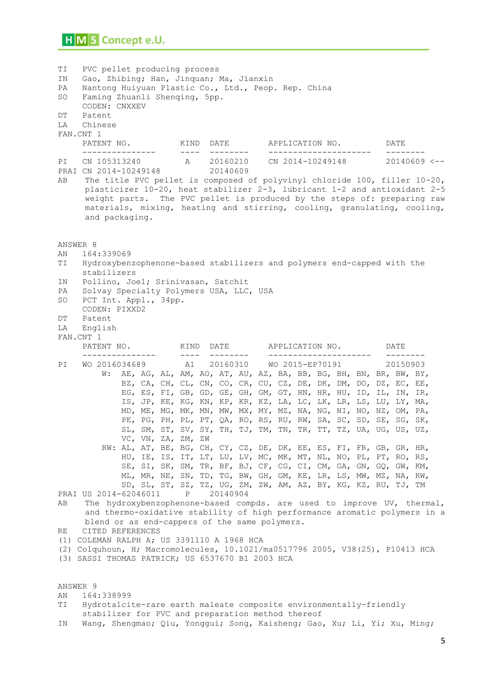TI PVC pellet producing process IN Gao, Zhibing; Han, Jinquan; Ma, Jianxin PA Nantong Huiyuan Plastic Co., Ltd., Peop. Rep. China SO Faming Zhuanli Shenqing, 5pp. CODEN: CNXXEV DT Patent LA Chinese FAN.CNT 1 PATENT NO. KIND DATE APPLICATION NO. DATE --------------- ---- -------- --------------------- -------- PI CN 105313240 A 20160210 CN 2014-10249148 20140609 <-- PRAI CN 2014-10249148 20140609 AB The title PVC pellet is composed of polyvinyl chloride 100, filler 10-20, plasticizer 10-20, heat stabilizer 2-3, lubricant 1-2 and antioxidant 2-5 weight parts. The PVC pellet is produced by the steps of: preparing raw materials, mixing, heating and stirring, cooling, granulating, cooling, and packaging. ANSWER 8 AN 164:339069 TI Hydroxybenzophenone-based stabilizers and polymers end-capped with the stabilizers IN Pollino, Joel; Srinivasan, Satchit PA Solvay Specialty Polymers USA, LLC, USA SO PCT Int. Appl., 34pp. CODEN: PIXXD2 DT Patent LA English FAN.CNT 1 PATENT NO. KIND DATE APPLICATION NO. DATE --------------- ---- -------- --------------------- -------- PI WO 2016034689 A1 20160310 WO 2015-EP70191 20150903 W: AE, AG, AL, AM, AO, AT, AU, AZ, BA, BB, BG, BH, BN, BR, BW, BY, BZ, CA, CH, CL, CN, CO, CR, CU, CZ, DE, DK, DM, DO, DZ, EC, EE, EG, ES, FI, GB, GD, GE, GH, GM, GT, HN, HR, HU, ID, IL, IN, IR, IS, JP, KE, KG, KN, KP, KR, KZ, LA, LC, LK, LR, LS, LU, LY, MA, MD, ME, MG, MK, MN, MW, MX, MY, MZ, NA, NG, NI, NO, NZ, OM, PA, PE, PG, PH, PL, PT, QA, RO, RS, RU, RW, SA, SC, SD, SE, SG, SK, SL, SM, ST, SV, SY, TH, TJ, TM, TN, TR, TT, TZ, UA, UG, US, UZ, VC, VN, ZA, ZM, ZW RW: AL, AT, BE, BG, CH, CY, CZ, DE, DK, EE, ES, FI, FR, GB, GR, HR, HU, IE, IS, IT, LT, LU, LV, MC, MK, MT, NL, NO, PL, PT, RO, RS, SE, SI, SK, SM, TR, BF, BJ, CF, CG, CI, CM, GA, GN, GQ, GW, KM, ML, MR, NE, SN, TD, TG, BW, GH, GM, KE, LR, LS, MW, MZ, NA, RW, SD, SL, ST, SZ, TZ, UG, ZM, ZW, AM, AZ, BY, KG, KZ, RU, TJ, TM PRAI US 2014-62046011 P 20140904 AB The hydroxybenzophenone-based compds. are used to improve UV, thermal, and thermo-oxidative stability of high performance aromatic polymers in a blend or as end-cappers of the same polymers. RE CITED REFERENCES (1) COLEMAN RALPH A; US 3391110 A 1968 HCA (2) Colquhoun, H; Macromolecules, 10.1021/ma0517796 2005, V38(25), P10413 HCA (3) SASSI THOMAS PATRICK; US 6537670 B1 2003 HCA ANSWER 9 AN 164:338999 TI Hydrotalcite-rare earth maleate composite environmentally-friendly

stabilizer for PVC and preparation method thereof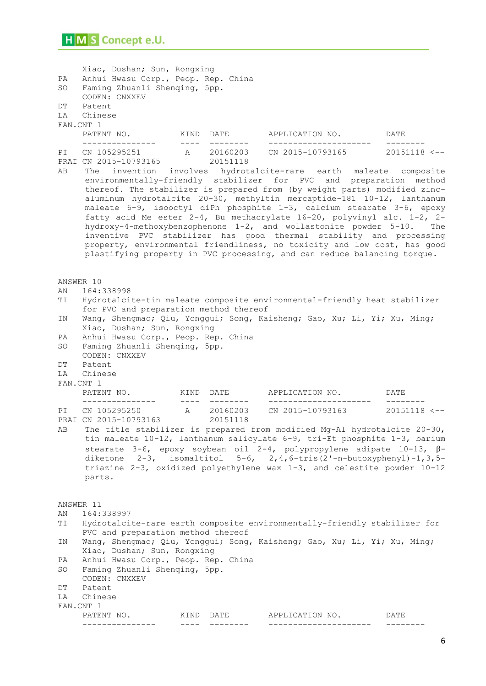Xiao, Dushan; Sun, Rongxing PA Anhui Hwasu Corp., Peop. Rep. China SO Faming Zhuanli Shenqing, 5pp. CODEN: CNXXEV DT Patent LA Chinese FAN.CNT 1 PATENT NO. KIND DATE APPLICATION NO. DATE --------------- ---- -------- --------------------- -------- A 20160203 CN 2015-10793165 20151118 <--PRAI CN 2015-10793165 20151118 AB The invention involves hydrotalcite-rare earth maleate composite environmentally-friendly stabilizer for PVC and preparation method thereof. The stabilizer is prepared from (by weight parts) modified zincaluminum hydrotalcite 20-30, methyltin mercaptide-181 10-12, lanthanum maleate 6-9, isooctyl diPh phosphite 1-3, calcium stearate 3-6, epoxy fatty acid Me ester 2-4, Bu methacrylate 16-20, polyvinyl alc. 1-2, 2 hydroxy-4-methoxybenzophenone 1-2, and wollastonite powder 5-10. The inventive PVC stabilizer has good thermal stability and processing property, environmental friendliness, no toxicity and low cost, has good plastifying property in PVC processing, and can reduce balancing torque. ANSWER 10 AN 164:338998 TI Hydrotalcite-tin maleate composite environmental-friendly heat stabilizer for PVC and preparation method thereof IN Wang, Shengmao; Qiu, Yonggui; Song, Kaisheng; Gao, Xu; Li, Yi; Xu, Ming; Xiao, Dushan; Sun, Rongxing PA Anhui Hwasu Corp., Peop. Rep. China SO Faming Zhuanli Shenqing, 5pp. CODEN: CNXXEV DT Patent LA Chinese FAN.CNT 1 PATENT NO. KIND DATE APPLICATION NO. DATE --------------- ---- -------- --------------------- -------- PI CN 105295250 A 20160203 CN 2015-10793163 20151118 <--<br>PRAI CN 2015-10793163 20151118 PRAI CN 2015-10793163 AB The title stabilizer is prepared from modified Mg-Al hydrotalcite 20-30, tin maleate 10-12, lanthanum salicylate 6-9, tri-Et phosphite 1-3, barium stearate 3-6, epoxy soybean oil 2-4, polypropylene adipate 10-13,  $\beta$ diketone  $2-3$ , isomaltitol  $5-6$ ,  $2, 4$ ,  $6-$ tris( $2$ '-n-butoxyphenyl)-1,3,5triazine 2-3, oxidized polyethylene wax 1-3, and celestite powder 10-12 parts. ANSWER 11 AN 164:338997 TI Hydrotalcite-rare earth composite environmentally-friendly stabilizer for PVC and preparation method thereof IN Wang, Shengmao; Qiu, Yonggui; Song, Kaisheng; Gao, Xu; Li, Yi; Xu, Ming; Xiao, Dushan; Sun, Rongxing PA Anhui Hwasu Corp., Peop. Rep. China SO Faming Zhuanli Shenqing, 5pp. CODEN: CNXXEV DT Patent LA Chinese FAN.CNT 1 PATENT NO. KIND DATE APPLICATION NO. DATE --------------- ---- -------- --------------------- --------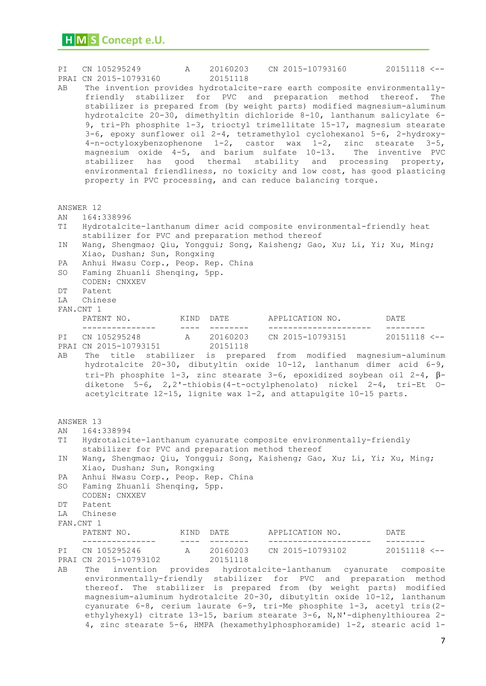| PI | CN 105295249<br>PRAI CN 2015-10793160                                                                                         |                                                                                                                                                                                                                                                                                                                                                                                              | 20151118                            |                        | A 20160203 CN 2015-10793160 20151118 <--                                                                                                                                                                                                                                                                                                                                                                                                                                                                                                                                                                                                                                                 |
|----|-------------------------------------------------------------------------------------------------------------------------------|----------------------------------------------------------------------------------------------------------------------------------------------------------------------------------------------------------------------------------------------------------------------------------------------------------------------------------------------------------------------------------------------|-------------------------------------|------------------------|------------------------------------------------------------------------------------------------------------------------------------------------------------------------------------------------------------------------------------------------------------------------------------------------------------------------------------------------------------------------------------------------------------------------------------------------------------------------------------------------------------------------------------------------------------------------------------------------------------------------------------------------------------------------------------------|
| AВ | friendly stabilizer for PVC and preparation method thereof.<br>property in PVC processing, and can reduce balancing torque.   |                                                                                                                                                                                                                                                                                                                                                                                              |                                     |                        | The invention provides hydrotalcite-rare earth composite environmentally-<br>The<br>stabilizer is prepared from (by weight parts) modified magnesium-aluminum<br>hydrotalcite 20-30, dimethyltin dichloride 8-10, lanthanum salicylate 6-<br>9, tri-Ph phosphite 1-3, trioctyl trimellitate 15-17, magnesium stearate<br>3-6, epoxy sunflower oil 2-4, tetramethylol cyclohexanol 5-6, 2-hydroxy-<br>4-n-octyloxybenzophenone 1-2, castor wax 1-2, zinc stearate 3-5,<br>magnesium oxide 4-5, and barium sulfate 10-13. The inventive PVC<br>stabilizer has good thermal stability and processing property,<br>environmental friendliness, no toxicity and low cost, has good plasticing |
|    | ANSWER 12                                                                                                                     |                                                                                                                                                                                                                                                                                                                                                                                              |                                     |                        |                                                                                                                                                                                                                                                                                                                                                                                                                                                                                                                                                                                                                                                                                          |
| AN | 164:338996                                                                                                                    |                                                                                                                                                                                                                                                                                                                                                                                              |                                     |                        |                                                                                                                                                                                                                                                                                                                                                                                                                                                                                                                                                                                                                                                                                          |
| ΤI | Hydrotalcite-lanthanum dimer acid composite environmental-friendly heat<br>stabilizer for PVC and preparation method thereof  |                                                                                                                                                                                                                                                                                                                                                                                              |                                     |                        |                                                                                                                                                                                                                                                                                                                                                                                                                                                                                                                                                                                                                                                                                          |
| ΙN | Wang, Shengmao; Qiu, Yonggui; Song, Kaisheng; Gao, Xu; Li, Yi; Xu, Ming;<br>Xiao, Dushan; Sun, Rongxing                       |                                                                                                                                                                                                                                                                                                                                                                                              |                                     |                        |                                                                                                                                                                                                                                                                                                                                                                                                                                                                                                                                                                                                                                                                                          |
| PA | Anhui Hwasu Corp., Peop. Rep. China                                                                                           |                                                                                                                                                                                                                                                                                                                                                                                              |                                     |                        |                                                                                                                                                                                                                                                                                                                                                                                                                                                                                                                                                                                                                                                                                          |
| SO | Faming Zhuanli Shenqing, 5pp.<br>CODEN: CNXXEV                                                                                |                                                                                                                                                                                                                                                                                                                                                                                              |                                     |                        |                                                                                                                                                                                                                                                                                                                                                                                                                                                                                                                                                                                                                                                                                          |
| DΤ | Patent                                                                                                                        |                                                                                                                                                                                                                                                                                                                                                                                              |                                     |                        |                                                                                                                                                                                                                                                                                                                                                                                                                                                                                                                                                                                                                                                                                          |
| LA | Chinese<br>FAN.CNT 1                                                                                                          |                                                                                                                                                                                                                                                                                                                                                                                              |                                     |                        |                                                                                                                                                                                                                                                                                                                                                                                                                                                                                                                                                                                                                                                                                          |
|    | PATENT NO.                                                                                                                    |                                                                                                                                                                                                                                                                                                                                                                                              | KIND DATE                           | APPLICATION NO.        | DATE                                                                                                                                                                                                                                                                                                                                                                                                                                                                                                                                                                                                                                                                                     |
| PI | ________________<br>CN 105295248<br>PRAI CN 2015-10793151                                                                     | $\frac{1}{2} \frac{1}{2} \frac{1}{2} \frac{1}{2} \frac{1}{2} \frac{1}{2} \frac{1}{2} \frac{1}{2} \frac{1}{2} \frac{1}{2} \frac{1}{2} \frac{1}{2} \frac{1}{2} \frac{1}{2} \frac{1}{2} \frac{1}{2} \frac{1}{2} \frac{1}{2} \frac{1}{2} \frac{1}{2} \frac{1}{2} \frac{1}{2} \frac{1}{2} \frac{1}{2} \frac{1}{2} \frac{1}{2} \frac{1}{2} \frac{1}{2} \frac{1}{2} \frac{1}{2} \frac{1}{2} \frac{$ | ---------<br>A 20160203<br>20151118 | ---------------------- | --------<br>CN 2015-10793151 20151118 <--                                                                                                                                                                                                                                                                                                                                                                                                                                                                                                                                                                                                                                                |
| AВ | acetylcitrate 12-15, lignite wax 1-2, and attapulgite 10-15 parts.                                                            |                                                                                                                                                                                                                                                                                                                                                                                              |                                     |                        | The title stabilizer is prepared from modified magnesium-aluminum<br>hydrotalcite 20-30, dibutyltin oxide 10-12, lanthanum dimer acid 6-9,<br>tri-Ph phosphite 1-3, zinc stearate 3-6, epoxidized soybean oil 2-4, $\beta$ -<br>diketone $5-6$ , $2, 2'-thi$ obis (4-t-octylphenolato) nickel $2-4$ , tri-Et 0-                                                                                                                                                                                                                                                                                                                                                                          |
|    | ANSWER 13                                                                                                                     |                                                                                                                                                                                                                                                                                                                                                                                              |                                     |                        |                                                                                                                                                                                                                                                                                                                                                                                                                                                                                                                                                                                                                                                                                          |
|    | AN 164:338994                                                                                                                 |                                                                                                                                                                                                                                                                                                                                                                                              |                                     |                        |                                                                                                                                                                                                                                                                                                                                                                                                                                                                                                                                                                                                                                                                                          |
| ΤI | Hydrotalcite-lanthanum cyanurate composite environmentally-friendly                                                           |                                                                                                                                                                                                                                                                                                                                                                                              |                                     |                        |                                                                                                                                                                                                                                                                                                                                                                                                                                                                                                                                                                                                                                                                                          |
|    | stabilizer for PVC and preparation method thereof<br>Wang, Shengmao; Qiu, Yonggui; Song, Kaisheng; Gao, Xu; Li, Yi; Xu, Ming; |                                                                                                                                                                                                                                                                                                                                                                                              |                                     |                        |                                                                                                                                                                                                                                                                                                                                                                                                                                                                                                                                                                                                                                                                                          |
| ΙN | Xiao, Dushan; Sun, Rongxing                                                                                                   |                                                                                                                                                                                                                                                                                                                                                                                              |                                     |                        |                                                                                                                                                                                                                                                                                                                                                                                                                                                                                                                                                                                                                                                                                          |
| PA | Anhui Hwasu Corp., Peop. Rep. China                                                                                           |                                                                                                                                                                                                                                                                                                                                                                                              |                                     |                        |                                                                                                                                                                                                                                                                                                                                                                                                                                                                                                                                                                                                                                                                                          |
| SO | Faming Zhuanli Shenqing, 5pp.                                                                                                 |                                                                                                                                                                                                                                                                                                                                                                                              |                                     |                        |                                                                                                                                                                                                                                                                                                                                                                                                                                                                                                                                                                                                                                                                                          |
| DΤ | CODEN: CNXXEV<br>Patent                                                                                                       |                                                                                                                                                                                                                                                                                                                                                                                              |                                     |                        |                                                                                                                                                                                                                                                                                                                                                                                                                                                                                                                                                                                                                                                                                          |
| LA | Chinese                                                                                                                       |                                                                                                                                                                                                                                                                                                                                                                                              |                                     |                        |                                                                                                                                                                                                                                                                                                                                                                                                                                                                                                                                                                                                                                                                                          |
|    | FAN.CNT 1                                                                                                                     |                                                                                                                                                                                                                                                                                                                                                                                              |                                     |                        |                                                                                                                                                                                                                                                                                                                                                                                                                                                                                                                                                                                                                                                                                          |
|    | PATENT NO.                                                                                                                    |                                                                                                                                                                                                                                                                                                                                                                                              | KIND DATE                           | APPLICATION NO.        | DATE                                                                                                                                                                                                                                                                                                                                                                                                                                                                                                                                                                                                                                                                                     |
| PI | CN 105295246 A 20160203                                                                                                       |                                                                                                                                                                                                                                                                                                                                                                                              |                                     |                        | CN 2015-10793102 20151118 <--                                                                                                                                                                                                                                                                                                                                                                                                                                                                                                                                                                                                                                                            |
| AВ | PRAI CN 2015-10793102<br>The<br>environmentally-friendly stabilizer for PVC and preparation                                   |                                                                                                                                                                                                                                                                                                                                                                                              | 20151118                            |                        | invention provides hydrotalcite-lanthanum cyanurate composite<br>method<br>thereof. The stabilizer is prepared from (by weight parts) modified<br>magnesium-aluminum hydrotalcite 20-30, dibutyltin oxide 10-12, lanthanum<br>cyanurate $6-8$ , cerium laurate $6-9$ , tri-Me phosphite $1-3$ , acetyl tris (2-<br>ethylyhexyl) citrate 13-15, barium stearate 3-6, N, N'-diphenylthiourea 2-<br>4, zinc stearate 5-6, HMPA (hexamethylphosphoramide) 1-2, stearic acid 1-                                                                                                                                                                                                               |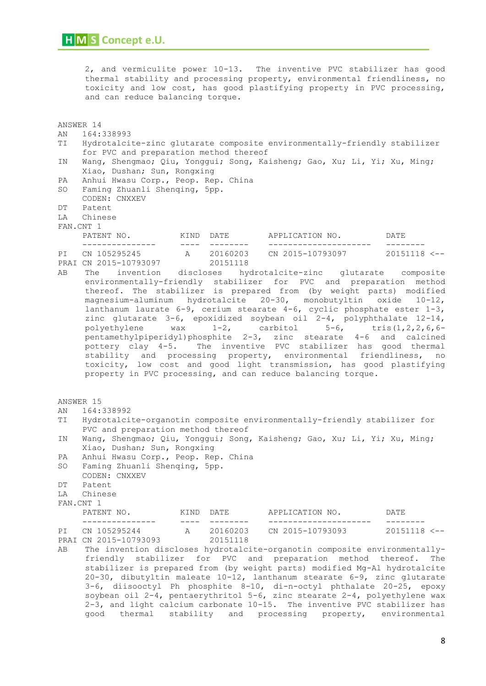2, and vermiculite power 10-13. The inventive PVC stabilizer has good thermal stability and processing property, environmental friendliness, no toxicity and low cost, has good plastifying property in PVC processing, and can reduce balancing torque.

ANSWER 14 AN 164:338993 TI Hydrotalcite-zinc glutarate composite environmentally-friendly stabilizer for PVC and preparation method thereof IN Wang, Shengmao; Qiu, Yonggui; Song, Kaisheng; Gao, Xu; Li, Yi; Xu, Ming; Xiao, Dushan; Sun, Rongxing PA Anhui Hwasu Corp., Peop. Rep. China SO Faming Zhuanli Shenqing, 5pp. CODEN: CNXXEV DT Patent LA Chinese FAN.CNT 1 PATENT NO. KIND DATE APPLICATION NO. DATE --------------- ---- -------- --------------------- -------- PI CN 105295245 A 20160203 CN 2015-10793097 20151118 <--<br>PRAI CN 2015-10793097 20151118 PRAI CN 2015-10793097 AB The invention discloses hydrotalcite-zinc glutarate composite environmentally-friendly stabilizer for PVC and preparation method thereof. The stabilizer is prepared from (by weight parts) modified magnesium-aluminum hydrotalcite 20-30, monobutyltin oxide 10-12, lanthanum laurate 6-9, cerium stearate 4-6, cyclic phosphate ester 1-3, zinc glutarate 3-6, epoxidized soybean oil 2-4, polyphthalate 12-14, polyethylene wax  $1-2$ , carbitol  $5-6$ , tris(1,2,2,6,6pentamethylpiperidyl)phosphite 2-3, zinc stearate 4-6 and calcined pottery clay 4-5. The inventive PVC stabilizer has good thermal stability and processing property, environmental friendliness, no toxicity, low cost and good light transmission, has good plastifying property in PVC processing, and can reduce balancing torque. ANSWER 15 AN 164:338992 TI Hydrotalcite-organotin composite environmentally-friendly stabilizer for PVC and preparation method thereof IN Wang, Shengmao; Qiu, Yonggui; Song, Kaisheng; Gao, Xu; Li, Yi; Xu, Ming; Xiao, Dushan; Sun, Rongxing PA Anhui Hwasu Corp., Peop. Rep. China SO Faming Zhuanli Shenqing, 5pp. CODEN: CNXXEV DT Patent LA Chinese FAN.CNT 1 PATENT NO. KIND DATE APPLICATION NO. DATE --------------- ---- -------- --------------------- -------- PI CN 105295244 A 20160203 CN 2015-10793093 20151118 <-- PRAI CN 2015-10793093 AB The invention discloses hydrotalcite-organotin composite environmentallyfriendly stabilizer for PVC and preparation method thereof. The stabilizer is prepared from (by weight parts) modified Mg-Al hydrotalcite 20-30, dibutyltin maleate 10-12, lanthanum stearate 6-9, zinc glutarate 3-6, diisooctyl Ph phosphite 8-10, di-n-octyl phthalate 20-25, epoxy soybean oil 2-4, pentaerythritol 5-6, zinc stearate 2-4, polyethylene wax 2-3, and light calcium carbonate 10-15. The inventive PVC stabilizer has good thermal stability and processing property, environmental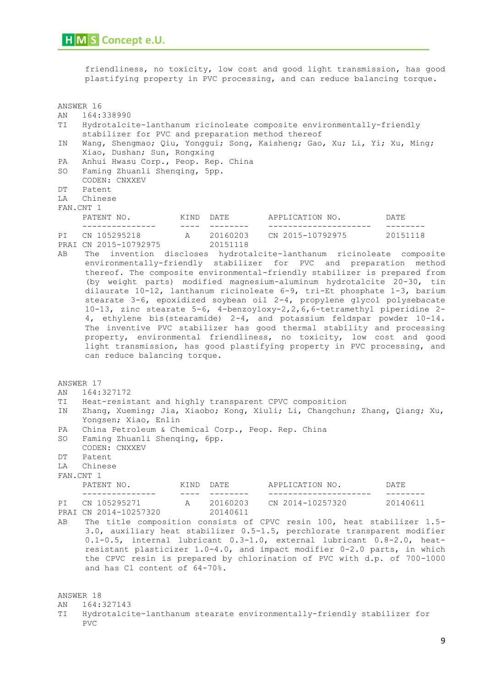PVC

friendliness, no toxicity, low cost and good light transmission, has good plastifying property in PVC processing, and can reduce balancing torque.

ANSWER 16 AN 164:338990 TI Hydrotalcite-lanthanum ricinoleate composite environmentally-friendly stabilizer for PVC and preparation method thereof IN Wang, Shengmao; Qiu, Yonggui; Song, Kaisheng; Gao, Xu; Li, Yi; Xu, Ming; Xiao, Dushan; Sun, Rongxing PA Anhui Hwasu Corp., Peop. Rep. China SO Faming Zhuanli Shenqing, 5pp. CODEN: CNXXEV DT Patent LA Chinese FAN.CNT 1 PATENT NO. KIND DATE APPLICATION NO. DATE --------------- ---- -------- --------------------- -------- PI CN 105295218 A 20160203 CN 2015-10792975 20151118 PRAI CN 2015-10792975 20151118 AB The invention discloses hydrotalcite-lanthanum ricinoleate composite environmentally-friendly stabilizer for PVC and preparation method thereof. The composite environmental-friendly stabilizer is prepared from (by weight parts) modified magnesium-aluminum hydrotalcite 20-30, tin dilaurate 10-12, lanthanum ricinoleate 6-9, tri-Et phosphate 1-3, barium stearate 3-6, epoxidized soybean oil 2-4, propylene glycol polysebacate 10-13, zinc stearate 5-6, 4-benzoyloxy-2,2,6,6-tetramethyl piperidine 2- 4, ethylene bis(stearamide) 2-4, and potassium feldspar powder 10-14. The inventive PVC stabilizer has good thermal stability and processing property, environmental friendliness, no toxicity, low cost and good light transmission, has good plastifying property in PVC processing, and can reduce balancing torque. ANSWER 17 AN 164:327172 TI Heat-resistant and highly transparent CPVC composition IN Zhang, Xueming; Jia, Xiaobo; Kong, Xiuli; Li, Changchun; Zhang, Qiang; Xu, Yongsen; Xiao, Enlin PA China Petroleum & Chemical Corp., Peop. Rep. China SO Faming Zhuanli Shenqing, 6pp. CODEN: CNXXEV DT Patent LA Chinese FAN.CNT 1 PATENT NO. KIND DATE APPLICATION NO. DATE ---------------------<br>CN 2014-10257320 PI CN 105295271 A 20160203 CN 2014-10257320 20140611 PRAI CN 2014-10257320 20140611 AB The title composition consists of CPVC resin 100, heat stabilizer 1.5- 3.0, auxiliary heat stabilizer 0.5-1.5, perchlorate transparent modifier 0.1-0.5, internal lubricant 0.3-1.0, external lubricant 0.8-2.0, heatresistant plasticizer 1.0-4.0, and impact modifier 0-2.0 parts, in which the CPVC resin is prepared by chlorination of PVC with d.p. of 700-1000 and has Cl content of 64-70%. ANSWER 18 AN 164:327143 TI Hydrotalcite-lanthanum stearate environmentally-friendly stabilizer for

9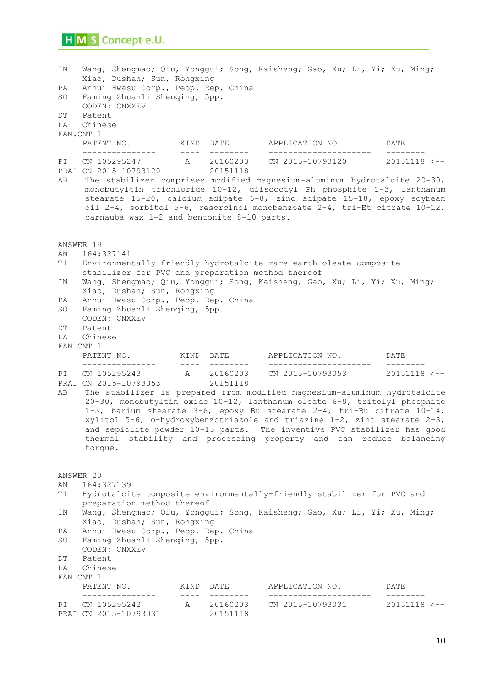| ΙN<br>PA<br>SO<br>DΤ<br>LA             | Wang, Shengmao; Qiu, Yonggui; Song, Kaisheng; Gao, Xu; Li, Yi; Xu, Ming;<br>Xiao, Dushan; Sun, Rongxing<br>Anhui Hwasu Corp., Peop. Rep. China<br>Faming Zhuanli Shenging, 5pp.<br>CODEN: CNXXEV<br>Patent<br>Chinese     |                             |                        |                                                                                                                                                                                                                                                                                                                                                                                                                                                                                                                                     |                           |  |  |  |  |  |  |
|----------------------------------------|---------------------------------------------------------------------------------------------------------------------------------------------------------------------------------------------------------------------------|-----------------------------|------------------------|-------------------------------------------------------------------------------------------------------------------------------------------------------------------------------------------------------------------------------------------------------------------------------------------------------------------------------------------------------------------------------------------------------------------------------------------------------------------------------------------------------------------------------------|---------------------------|--|--|--|--|--|--|
|                                        | FAN.CNT 1<br>PATENT NO. KIND DATE<br>---------------                                                                                                                                                                      | $\sim$ $\sim$ $\sim$ $\sim$ | ---------              | APPLICATION NO.<br>---------------------                                                                                                                                                                                                                                                                                                                                                                                                                                                                                            | DATE<br>$- - - - - - - -$ |  |  |  |  |  |  |
| ΡI<br>AВ                               | CN 105295247 A 20160203<br>PRAI CN 2015-10793120<br>carnauba wax 1-2 and bentonite 8-10 parts.                                                                                                                            |                             | 20151118               | CN 2015-10793120 20151118 <--<br>The stabilizer comprises modified magnesium-aluminum hydrotalcite 20-30,<br>monobutyltin trichloride 10-12, diisooctyl Ph phosphite 1-3, lanthanum<br>stearate 15-20, calcium adipate 6-8, zinc adipate 15-18, epoxy soybean<br>oil 2-4, sorbitol 5-6, resorcinol monobenzoate 2-4, tri-Et citrate $10-12$ ,                                                                                                                                                                                       |                           |  |  |  |  |  |  |
| ΑN<br>ΤI<br>ΙN<br>PA<br>SO<br>DΤ<br>LA | ANSWER 19<br>164:327141<br>stabilizer for PVC and preparation method thereof<br>Xiao, Dushan; Sun, Rongxing<br>Anhui Hwasu Corp., Peop. Rep. China<br>Faming Zhuanli Shenqing, 5pp.<br>CODEN: CNXXEV<br>Patent<br>Chinese |                             |                        | Environmentally-friendly hydrotalcite-rare earth oleate composite<br>Wang, Shengmao; Qiu, Yonggui; Song, Kaisheng; Gao, Xu; Li, Yi; Xu, Ming;                                                                                                                                                                                                                                                                                                                                                                                       |                           |  |  |  |  |  |  |
|                                        | FAN.CNT 1<br>PATENT NO. KIND DATE                                                                                                                                                                                         |                             |                        | APPLICATION NO. DATE                                                                                                                                                                                                                                                                                                                                                                                                                                                                                                                |                           |  |  |  |  |  |  |
| PI<br>AВ                               | CN 105295243 A 20160203<br>PRAI CN 2015-10793053<br>torque.                                                                                                                                                               |                             | 20151118               | ----------------------<br>CN 2015-10793053 20151118 <--<br>The stabilizer is prepared from modified magnesium-aluminum hydrotalcite<br>20-30, monobutyltin oxide 10-12, lanthanum oleate 6-9, tritolyl phosphite<br>1-3, barium stearate 3-6, epoxy Bu stearate $2-4$ , tri-Bu citrate $10-14$ ,<br>xylitol 5-6, o-hydroxybenzotriazole and triazine $1-2$ , zinc stearate $2-3$ ,<br>and sepiolite powder 10-15 parts. The inventive PVC stabilizer has good<br>thermal stability and processing property and can reduce balancing | __________                |  |  |  |  |  |  |
| ΑN<br>TI<br>ΙN<br>PA<br>SO<br>DΤ<br>LA | ANSWER 20<br>164:327139<br>preparation method thereof<br>Xiao, Dushan; Sun, Rongxing<br>Anhui Hwasu Corp., Peop. Rep. China<br>Faming Zhuanli Shenging, 5pp.<br>CODEN: CNXXEV<br>Patent<br>Chinese<br>FAN.CNT 1           |                             |                        | Hydrotalcite composite environmentally-friendly stabilizer for PVC and<br>Wang, Shengmao; Qiu, Yonggui; Song, Kaisheng; Gao, Xu; Li, Yi; Xu, Ming;                                                                                                                                                                                                                                                                                                                                                                                  |                           |  |  |  |  |  |  |
|                                        | PATENT NO.<br>---------------                                                                                                                                                                                             | $- - - - -$                 | KIND DATE<br>--------- | APPLICATION NO.<br>______________________                                                                                                                                                                                                                                                                                                                                                                                                                                                                                           | DATE<br>$- - - - - - - -$ |  |  |  |  |  |  |
| PI                                     | CN 105295242<br>PRAI CN 2015-10793031                                                                                                                                                                                     |                             | 20151118               | A 20160203 CN 2015-10793031 20151118 <--                                                                                                                                                                                                                                                                                                                                                                                                                                                                                            |                           |  |  |  |  |  |  |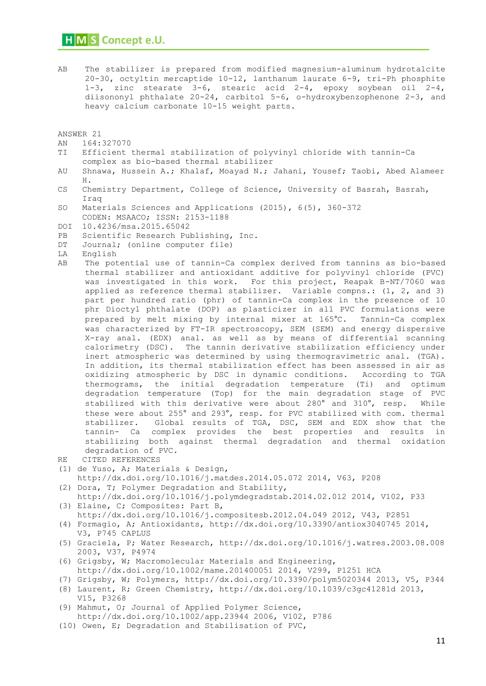AB The stabilizer is prepared from modified magnesium-aluminum hydrotalcite 20-30, octyltin mercaptide 10-12, lanthanum laurate 6-9, tri-Ph phosphite 1-3, zinc stearate 3-6, stearic acid 2-4, epoxy soybean oil 2-4, diisononyl phthalate 20-24, carbitol 5-6, o-hydroxybenzophenone 2-3, and heavy calcium carbonate 10-15 weight parts.

ANSWER 21

- AN 164:327070
- TI Efficient thermal stabilization of polyvinyl chloride with tannin-Ca complex as bio-based thermal stabilizer
- AU Shnawa, Hussein A.; Khalaf, Moayad N.; Jahani, Yousef; Taobi, Abed Alameer H.
- CS Chemistry Department, College of Science, University of Basrah, Basrah, Iraq
- SO Materials Sciences and Applications (2015), 6(5), 360-372 CODEN: MSAACO; ISSN: 2153-1188
- DOI 10.4236/msa.2015.65042
- PB Scientific Research Publishing, Inc.
- DT Journal; (online computer file)
- LA English
- AB The potential use of tannin-Ca complex derived from tannins as bio-based thermal stabilizer and antioxidant additive for polyvinyl chloride (PVC) was investigated in this work. For this project, Reapak B-NT/7060 was applied as reference thermal stabilizer. Variable compns.: (1, 2, and 3) part per hundred ratio (phr) of tannin-Ca complex in the presence of 10 phr Dioctyl phthalate (DOP) as plasticizer in all PVC formulations were prepared by melt mixing by internal mixer at 165°C. Tannin-Ca complex was characterized by FT-IR spectroscopy, SEM (SEM) and energy dispersive X-ray anal. (EDX) anal. as well as by means of differential scanning calorimetry (DSC). The tannin derivative stabilization efficiency under inert atmospheric was determined by using thermogravimetric anal. (TGA). In addition, its thermal stabilization effect has been assessed in air as oxidizing atmospheric by DSC in dynamic conditions. According to TGA thermograms, the initial degradation temperature (Ti) and optimum degradation temperature (Top) for the main degradation stage of PVC stabilized with this derivative were about 280° and 310°, resp. While these were about 255° and 293°, resp. for PVC stabilized with com. thermal stabilizer. Global results of TGA, DSC, SEM and EDX show that the tannin- Ca complex provides the best properties and results in stabilizing both against thermal degradation and thermal oxidation degradation of PVC.
- RE CITED REFERENCES
- (1) de Yuso, A; Materials & Design,
- http://dx.doi.org/10.1016/j.matdes.2014.05.072 2014, V63, P208 (2) Dora, T; Polymer Degradation and Stability,
- http://dx.doi.org/10.1016/j.polymdegradstab.2014.02.012 2014, V102, P33 (3) Elaine, C; Composites: Part B,
- http://dx.doi.org/10.1016/j.compositesb.2012.04.049 2012, V43, P2851
- (4) Formagio, A; Antioxidants, http://dx.doi.org/10.3390/antiox3040745 2014, V3, P745 CAPLUS
- (5) Graciela, P; Water Research, http://dx.doi.org/10.1016/j.watres.2003.08.008 2003, V37, P4974
- (6) Grigsby, W; Macromolecular Materials and Engineering, http://dx.doi.org/10.1002/mame.201400051 2014, V299, P1251 HCA
- (7) Grigsby, W; Polymers, http://dx.doi.org/10.3390/polym5020344 2013, V5, P344 (8) Laurent, R; Green Chemistry, http://dx.doi.org/10.1039/c3gc41281d 2013,
- V15, P3268 (9) Mahmut, O; Journal of Applied Polymer Science, http://dx.doi.org/10.1002/app.23944 2006, V102, P786
- (10) Owen, E; Degradation and Stabilisation of PVC,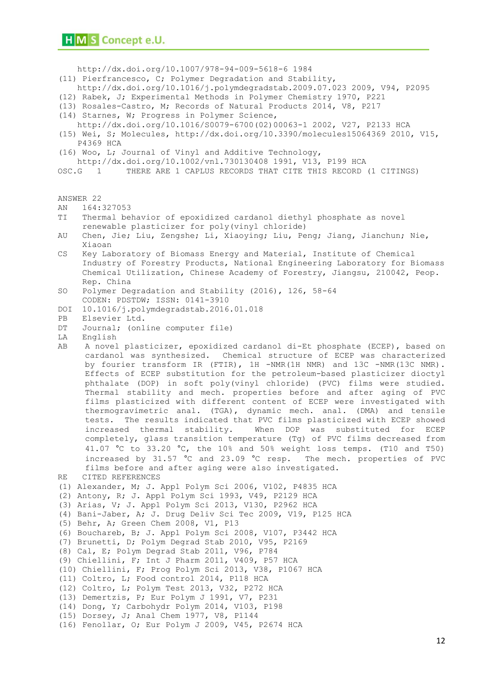http://dx.doi.org/10.1007/978-94-009-5618-6 1984

(11) Pierfrancesco, C; Polymer Degradation and Stability,

http://dx.doi.org/10.1016/j.polymdegradstab.2009.07.023 2009, V94, P2095

- (12) Rabek, J; Experimental Methods in Polymer Chemistry 1970, P221
- (13) Rosales-Castro, M; Records of Natural Products 2014, V8, P217
- (14) Starnes, W; Progress in Polymer Science,
- http://dx.doi.org/10.1016/S0079-6700(02)00063-1 2002, V27, P2133 HCA
- (15) Wei, S; Molecules, http://dx.doi.org/10.3390/molecules15064369 2010, V15, P4369 HCA
- (16) Woo, L; Journal of Vinyl and Additive Technology,

http://dx.doi.org/10.1002/vnl.730130408 1991, V13, P199 HCA

OSC.G 1 THERE ARE 1 CAPLUS RECORDS THAT CITE THIS RECORD (1 CITINGS)

ANSWER 22

- AN 164:327053
- TI Thermal behavior of epoxidized cardanol diethyl phosphate as novel renewable plasticizer for poly(vinyl chloride)
- AU Chen, Jie; Liu, Zengshe; Li, Xiaoying; Liu, Peng; Jiang, Jianchun; Nie, Xiaoan
- CS Key Laboratory of Biomass Energy and Material, Institute of Chemical Industry of Forestry Products, National Engineering Laboratory for Biomass Chemical Utilization, Chinese Academy of Forestry, Jiangsu, 210042, Peop. Rep. China
- SO Polymer Degradation and Stability (2016), 126, 58-64 CODEN: PDSTDW; ISSN: 0141-3910
- DOI 10.1016/j.polymdegradstab.2016.01.018
- PB Elsevier Ltd.
- DT Journal; (online computer file)
- LA English
- AB A novel plasticizer, epoxidized cardanol di-Et phosphate (ECEP), based on cardanol was synthesized. Chemical structure of ECEP was characterized by fourier transform IR (FTIR), 1H -NMR(1H NMR) and 13C -NMR(13C NMR). Effects of ECEP substitution for the petroleum-based plasticizer dioctyl phthalate (DOP) in soft poly(vinyl chloride) (PVC) films were studied. Thermal stability and mech. properties before and after aging of PVC films plasticized with different content of ECEP were investigated with thermogravimetric anal. (TGA), dynamic mech. anal. (DMA) and tensile tests. The results indicated that PVC films plasticized with ECEP showed increased thermal stability. When DOP was substituted for ECEP completely, glass transition temperature (Tg) of PVC films decreased from 41.07 °C to 33.20 °C, the 10% and 50% weight loss temps. (T10 and T50) increased by 31.57 °C and 23.09 °C resp. The mech. properties of PVC films before and after aging were also investigated.

```
RE CITED REFERENCES
```
(1) Alexander, M; J. Appl Polym Sci 2006, V102, P4835 HCA

```
(2) Antony, R; J. Appl Polym Sci 1993, V49, P2129 HCA
```
(3) Arias, V; J. Appl Polym Sci 2013, V130, P2962 HCA

```
(4) Bani-Jaber, A; J. Drug Deliv Sci Tec 2009, V19, P125 HCA
```
(5) Behr, A; Green Chem 2008, V1, P13

```
(6) Bouchareb, B; J. Appl Polym Sci 2008, V107, P3442 HCA
```
(7) Brunetti, D; Polym Degrad Stab 2010, V95, P2169

(8) Cal, E; Polym Degrad Stab 2011, V96, P784

(9) Chiellini, F; Int J Pharm 2011, V409, P57 HCA

(10) Chiellini, F; Prog Polym Sci 2013, V38, P1067 HCA

- (11) Coltro, L; Food control 2014, P118 HCA
- (12) Coltro, L; Polym Test 2013, V32, P272 HCA
- (13) Demertzis, P; Eur Polym J 1991, V7, P231
- (14) Dong, Y; Carbohydr Polym 2014, V103, P198
- (15) Dorsey, J; Anal Chem 1977, V8, P1144

```
(16) Fenollar, O; Eur Polym J 2009, V45, P2674 HCA
```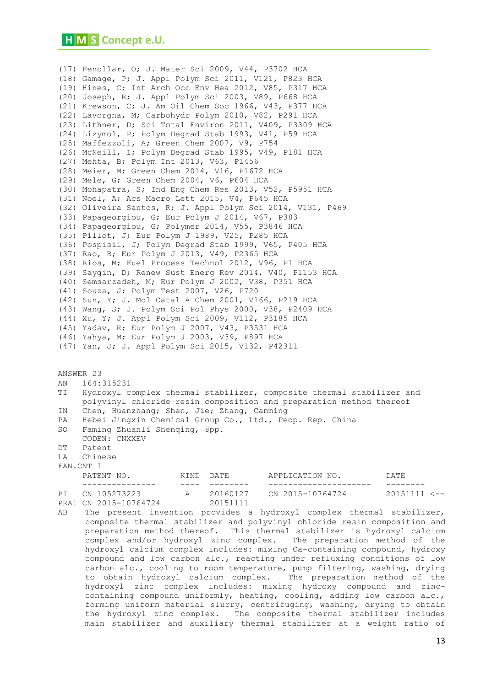(17) Fenollar, O; J. Mater Sci 2009, V44, P3702 HCA (18) Gamage, P; J. Appl Polym Sci 2011, V121, P823 HCA (19) Hines, C; Int Arch Occ Env Hea 2012, V85, P317 HCA (20) Joseph, R; J. Appl Polym Sci 2003, V89, P668 HCA (21) Krewson, C; J. Am Oil Chem Soc 1966, V43, P377 HCA (22) Lavorgna, M; Carbohydr Polym 2010, V82, P291 HCA (23) Lithner, D; Sci Total Environ 2011, V409, P3309 HCA (24) Lizymol, P; Polym Degrad Stab 1993, V41, P59 HCA (25) Maffezzoli, A; Green Chem 2007, V9, P754 (26) McNeill, I; Polym Degrad Stab 1995, V49, P181 HCA (27) Mehta, B; Polym Int 2013, V63, P1456 (28) Meier, M; Green Chem 2014, V16, P1672 HCA (29) Mele, G; Green Chem 2004, V6, P604 HCA (30) Mohapatra, S; Ind Eng Chem Res 2013, V52, P5951 HCA (31) Noel, A; Acs Macro Lett 2015, V4, P645 HCA (32) Oliveira Santos, R; J. Appl Polym Sci 2014, V131, P469 (33) Papageorgiou, G; Eur Polym J 2014, V67, P383 (34) Papageorgiou, G; Polymer 2014, V55, P3846 HCA (35) Pillot, J; Eur Polym J 1989, V25, P285 HCA (36) Pospisil, J; Polym Degrad Stab 1999, V65, P405 HCA (37) Rao, B; Eur Polym J 2013, V49, P2365 HCA (38) Rios, M; Fuel Process Technol 2012, V96, P1 HCA (39) Saygin, D; Renew Sust Energ Rev 2014, V40, P1153 HCA (40) Semsarzadeh, M; Eur Polym J 2002, V38, P351 HCA (41) Souza, J; Polym Test 2007, V26, P720 (42) Sun, Y; J. Mol Catal A Chem 2001, V166, P219 HCA (43) Wang, S; J. Polym Sci Pol Phys 2000, V38, P2409 HCA (44) Xu, Y; J. Appl Polym Sci 2009, V112, P3185 HCA (45) Yadav, R; Eur Polym J 2007, V43, P3531 HCA (46) Yahya, M; Eur Polym J 2003, V39, P897 HCA (47) Yan, J; J. Appl Polym Sci 2015, V132, P42311 ANSWER 23 AN 164:315231 TI Hydroxyl complex thermal stabilizer, composite thermal stabilizer and polyvinyl chloride resin composition and preparation method thereof IN Chen, Huanzhang; Shen, Jie; Zhang, Canming PA Hebei Jingxin Chemical Group Co., Ltd., Peop. Rep. China SO Faming Zhuanli Shenqing, 8pp. CODEN: CNXXEV DT Patent LA Chinese FAN.CNT 1 PATENT NO. KIND DATE APPLICATION NO. DATE --------------- ---- -------- --------------------- -------- PI CN 105273223 A 20160127 CN 2015-10764724 20151111 <-- PRAI CN 2015-10764724 AB The present invention provides a hydroxyl complex thermal stabilizer, composite thermal stabilizer and polyvinyl chloride resin composition and

preparation method thereof. This thermal stabilizer is hydroxyl calcium complex and/or hydroxyl zinc complex. The preparation method of the hydroxyl calcium complex includes: mixing Ca-containing compound, hydroxy compound and low carbon alc., reacting under refluxing conditions of low carbon alc., cooling to room temperature, pump filtering, washing, drying to obtain hydroxyl calcium complex. The preparation method of the hydroxyl zinc complex includes: mixing hydroxy compound and zinccontaining compound uniformly, heating, cooling, adding low carbon alc., forming uniform material slurry, centrifuging, washing, drying to obtain the hydroxyl zinc complex. The composite thermal stabilizer includes main stabilizer and auxiliary thermal stabilizer at a weight ratio of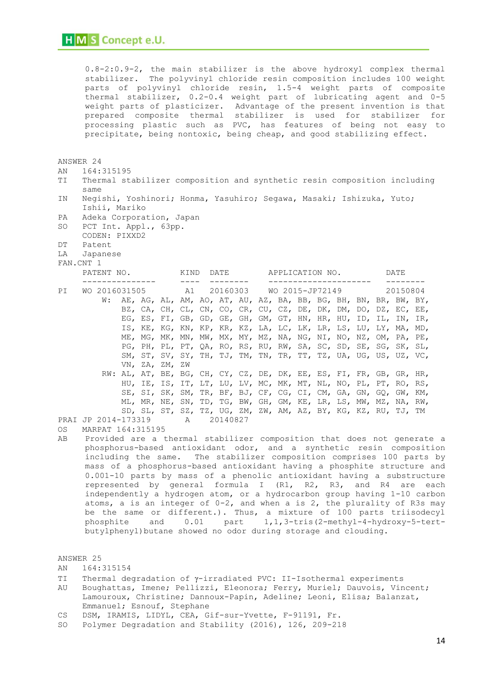0.8-2:0.9-2, the main stabilizer is the above hydroxyl complex thermal stabilizer. The polyvinyl chloride resin composition includes 100 weight parts of polyvinyl chloride resin, 1.5-4 weight parts of composite thermal stabilizer, 0.2-0.4 weight part of lubricating agent and 0-5 weight parts of plasticizer. Advantage of the present invention is that prepared composite thermal stabilizer is used for stabilizer for processing plastic such as PVC, has features of being not easy to precipitate, being nontoxic, being cheap, and good stabilizing effect.

#### ANSWER 24

- AN 164:315195
- TI Thermal stabilizer composition and synthetic resin composition including same
- IN Negishi, Yoshinori; Honma, Yasuhiro; Segawa, Masaki; Ishizuka, Yuto; Ishii, Mariko
- PA Adeka Corporation, Japan
- SO PCT Int. Appl., 63pp.
- CODEN: PIXXD2
- DT Patent
- LA Japanese
- FAN.CNT 1

|    | PATENT NO. |                                           |  |                |  |            | KIND<br>DATE |  |  | APPLICATION NO. |  |  |  | DATE |  |  |                                                                     |  |
|----|------------|-------------------------------------------|--|----------------|--|------------|--------------|--|--|-----------------|--|--|--|------|--|--|---------------------------------------------------------------------|--|
|    |            |                                           |  |                |  |            |              |  |  |                 |  |  |  |      |  |  | -------                                                             |  |
| PI |            | WO 2016031505 A1 20160303 WO 2015-JP72149 |  |                |  |            |              |  |  |                 |  |  |  |      |  |  | 20150804                                                            |  |
|    |            | W:                                        |  |                |  |            |              |  |  |                 |  |  |  |      |  |  | AE, AG, AL, AM, AO, AT, AU, AZ, BA, BB, BG, BH, BN, BR, BW, BY,     |  |
|    |            |                                           |  |                |  |            |              |  |  |                 |  |  |  |      |  |  | BZ, CA, CH, CL, CN, CO, CR, CU, CZ, DE, DK, DM, DO, DZ, EC, EE,     |  |
|    |            |                                           |  |                |  |            |              |  |  |                 |  |  |  |      |  |  | EG, ES, FI, GB, GD, GE, GH, GM, GT, HN, HR, HU, ID, IL, IN, IR,     |  |
|    |            |                                           |  |                |  |            |              |  |  |                 |  |  |  |      |  |  | IS, KE, KG, KN, KP, KR, KZ, LA, LC, LK, LR, LS, LU, LY, MA, MD,     |  |
|    |            |                                           |  |                |  |            |              |  |  |                 |  |  |  |      |  |  | ME, MG, MK, MN, MW, MX, MY, MZ, NA, NG, NI, NO, NZ, OM, PA, PE,     |  |
|    |            |                                           |  |                |  |            |              |  |  |                 |  |  |  |      |  |  | PG, PH, PL, PT, QA, RO, RS, RU, RW, SA, SC, SD, SE, SG, SK, SL,     |  |
|    |            |                                           |  |                |  |            |              |  |  |                 |  |  |  |      |  |  | SM, ST, SV, SY, TH, TJ, TM, TN, TR, TT, TZ, UA, UG, US, UZ, VC,     |  |
|    |            |                                           |  | VN, ZA, ZM, ZW |  |            |              |  |  |                 |  |  |  |      |  |  |                                                                     |  |
|    |            |                                           |  |                |  |            |              |  |  |                 |  |  |  |      |  |  | RW: AL, AT, BE, BG, CH, CY, CZ, DE, DK, EE, ES, FI, FR, GB, GR, HR, |  |
|    |            |                                           |  |                |  |            |              |  |  |                 |  |  |  |      |  |  | HU, IE, IS, IT, LT, LU, LV, MC, MK, MT, NL, NO, PL, PT, RO, RS,     |  |
|    |            |                                           |  |                |  |            |              |  |  |                 |  |  |  |      |  |  | SE, SI, SK, SM, TR, BF, BJ, CF, CG, CI, CM, GA, GN, GQ, GW, KM,     |  |
|    |            |                                           |  |                |  |            |              |  |  |                 |  |  |  |      |  |  | ML, MR, NE, SN, TD, TG, BW, GH, GM, KE, LR, LS, MW, MZ, NA, RW,     |  |
|    |            |                                           |  |                |  |            |              |  |  |                 |  |  |  |      |  |  | SD, SL, ST, SZ, TZ, UG, ZM, ZW, AM, AZ, BY, KG, KZ, RU, TJ, TM      |  |
|    |            | PRAI JP 2014-173319                       |  |                |  | A 20140827 |              |  |  |                 |  |  |  |      |  |  |                                                                     |  |

OS MARPAT 164:315195

AB Provided are a thermal stabilizer composition that does not generate a phosphorus-based antioxidant odor, and a synthetic resin composition including the same. The stabilizer composition comprises 100 parts by mass of a phosphorus-based antioxidant having a phosphite structure and 0.001-10 parts by mass of a phenolic antioxidant having a substructure represented by general formula I (R1, R2, R3, and R4 are each independently a hydrogen atom, or a hydrocarbon group having 1-10 carbon atoms, a is an integer of 0-2, and when a is 2, the plurality of R3s may be the same or different.). Thus, a mixture of 100 parts triisodecyl<br>phosphite and 0.01 part 1,1,3-tris(2-methyl-4-hvdroxv-5-tertphosphite and 0.01 part 1,1,3-tris(2-methyl-4-hydroxy-5-tertbutylphenyl)butane showed no odor during storage and clouding.

ANSWER 25

- AN 164:315154
- TI Thermal degradation of y-irradiated PVC: II-Isothermal experiments
- AU Boughattas, Imene; Pellizzi, Eleonora; Ferry, Muriel; Dauvois, Vincent; Lamouroux, Christine; Dannoux-Papin, Adeline; Leoni, Elisa; Balanzat, Emmanuel; Esnouf, Stephane
- CS DSM, IRAMIS, LIDYL, CEA, Gif-sur-Yvette, F-91191, Fr.
- SO Polymer Degradation and Stability (2016), 126, 209-218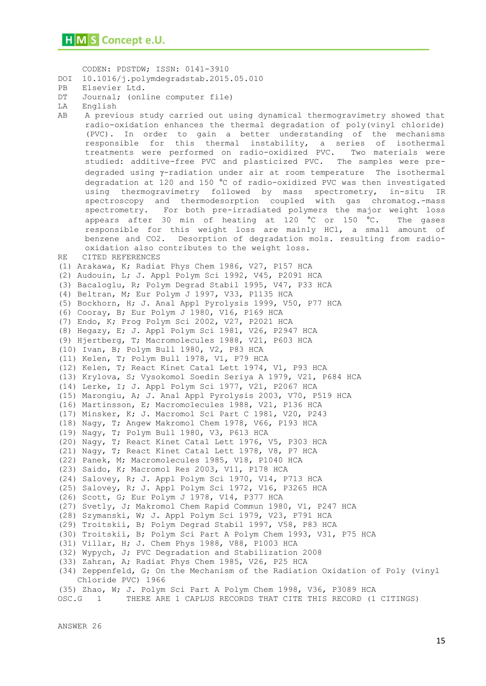```
 CODEN: PDSTDW; ISSN: 0141-3910
DOI 10.1016/j.polymdegradstab.2015.05.010
PB Elsevier Ltd.
DT Journal; (online computer file)
LA English
AB A previous study carried out using dynamical thermogravimetry showed that 
     radio-oxidation enhances the thermal degradation of poly(vinyl chloride) 
     (PVC). In order to gain a better understanding of the mechanisms 
     responsible for this thermal instability, a series of isothermal 
     treatments were performed on radio-oxidized PVC. Two materials were 
     studied: additive-free PVC and plasticized PVC. The samples were pre-
     degraded using \gamma-radiation under air at room temperature The isothermal
     degradation at 120 and 150 °C of radio-oxidized PVC was then investigated 
     using thermogravimetry followed by mass spectrometry, in-situ IR 
     spectroscopy and thermodesorption coupled with gas chromatog.-mass 
     spectrometry. For both pre-irradiated polymers the major weight loss 
     appears after 30 min of heating at 120 °C or 150 °C. The gases
     responsible for this weight loss are mainly HCl, a small amount of 
     benzene and CO2. Desorption of degradation mols. resulting from radio-
     oxidation also contributes to the weight loss.
RE CITED REFERENCES
(1) Arakawa, K; Radiat Phys Chem 1986, V27, P157 HCA
(2) Audouin, L; J. Appl Polym Sci 1992, V45, P2091 HCA
(3) Bacaloglu, R; Polym Degrad Stabil 1995, V47, P33 HCA
(4) Beltran, M; Eur Polym J 1997, V33, P1135 HCA
(5) Bockhorn, H; J. Anal Appl Pyrolysis 1999, V50, P77 HCA
(6) Cooray, B; Eur Polym J 1980, V16, P169 HCA
(7) Endo, K; Prog Polym Sci 2002, V27, P2021 HCA
(8) Hegazy, E; J. Appl Polym Sci 1981, V26, P2947 HCA
(9) Hjertberg, T; Macromolecules 1988, V21, P603 HCA
(10) Ivan, B; Polym Bull 1980, V2, P83 HCA
(11) Kelen, T; Polym Bull 1978, V1, P79 HCA
(12) Kelen, T; React Kinet Catal Lett 1974, V1, P93 HCA
(13) Krylova, S; Vysokomol Soedin Seriya A 1979, V21, P684 HCA
(14) Lerke, I; J. Appl Polym Sci 1977, V21, P2067 HCA
(15) Marongiu, A; J. Anal Appl Pyrolysis 2003, V70, P519 HCA
(16) Martinsson, E; Macromolecules 1988, V21, P136 HCA
(17) Minsker, K; J. Macromol Sci Part C 1981, V20, P243
(18) Nagy, T; Angew Makromol Chem 1978, V66, P193 HCA
(19) Nagy, T; Polym Bull 1980, V3, P613 HCA
(20) Nagy, T; React Kinet Catal Lett 1976, V5, P303 HCA
(21) Nagy, T; React Kinet Catal Lett 1978, V8, P7 HCA
(22) Panek, M; Macromolecules 1985, V18, P1040 HCA
(23) Saido, K; Macromol Res 2003, V11, P178 HCA
(24) Salovey, R; J. Appl Polym Sci 1970, V14, P713 HCA
(25) Salovey, R; J. Appl Polym Sci 1972, V16, P3265 HCA
(26) Scott, G; Eur Polym J 1978, V14, P377 HCA
(27) Svetly, J; Makromol Chem Rapid Commun 1980, V1, P247 HCA
(28) Szymanski, W; J. Appl Polym Sci 1979, V23, P791 HCA
(29) Troitskii, B; Polym Degrad Stabil 1997, V58, P83 HCA
(30) Troitskii, B; Polym Sci Part A Polym Chem 1993, V31, P75 HCA
(31) Villar, H; J. Chem Phys 1988, V88, P1003 HCA
(32) Wypych, J; PVC Degradation and Stabilization 2008
(33) Zahran, A; Radiat Phys Chem 1985, V26, P25 HCA
(34) Zeppenfeld, G; On the Mechanism of the Radiation Oxidation of Poly (vinyl
     Chloride PVC) 1966
(35) Zhao, W; J. Polym Sci Part A Polym Chem 1998, V36, P3089 HCA
OSC.G 1 THERE ARE 1 CAPLUS RECORDS THAT CITE THIS RECORD (1 CITINGS)
```
ANSWER 26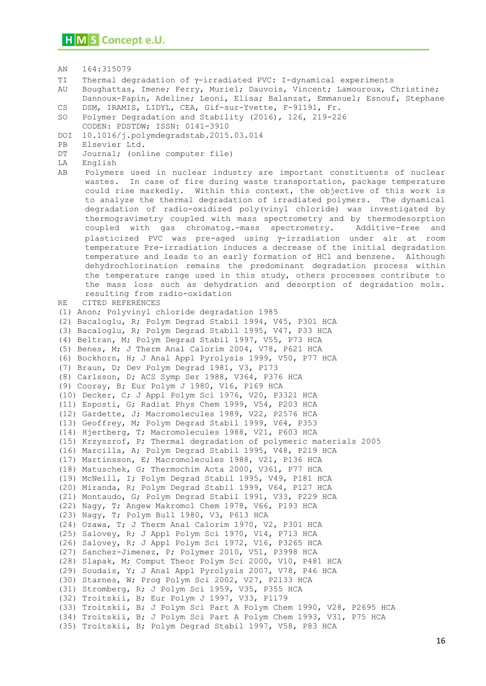- AN 164:315079
- TI Thermal degradation of y-irradiated PVC: I-dynamical experiments

AU Boughattas, Imene; Ferry, Muriel; Dauvois, Vincent; Lamouroux, Christine; Dannoux-Papin, Adeline; Leoni, Elisa; Balanzat, Emmanuel; Esnouf, Stephane CS DSM, IRAMIS, LIDYL, CEA, Gif-sur-Yvette, F-91191, Fr.

- SO Polymer Degradation and Stability (2016), 126, 219-226
- CODEN: PDSTDW; ISSN: 0141-3910
- DOI 10.1016/j.polymdegradstab.2015.03.014
- PB Elsevier Ltd.
- DT Journal; (online computer file)
- LA English
- AB Polymers used in nuclear industry are important constituents of nuclear wastes. In case of fire during waste transportation, package temperature could rise markedly. Within this context, the objective of this work is to analyze the thermal degradation of irradiated polymers. The dynamical degradation of radio-oxidized poly(vinyl chloride) was investigated by thermogravimetry coupled with mass spectrometry and by thermodesorption coupled with gas chromatog.-mass spectrometry. Additive-free and plasticized PVC was pre-aged using  $\gamma$ -irradiation under air at room temperature Pre-irradiation induces a decrease of the initial degradation temperature and leads to an early formation of HCl and benzene. Although dehydrochlorination remains the predominant degradation process within the temperature range used in this study, others processes contribute to the mass loss such as dehydration and desorption of degradation mols. resulting from radio-oxidation

RE CITED REFERENCES

(1) Anon; Polyvinyl chloride degradation 1985 (2) Bacaloglu, R; Polym Degrad Stabil 1994, V45, P301 HCA (3) Bacaloglu, R; Polym Degrad Stabil 1995, V47, P33 HCA (4) Beltran, M; Polym Degrad Stabil 1997, V55, P73 HCA (5) Benes, M; J Therm Anal Calorim 2004, V78, P621 HCA (6) Bockhorn, H; J Anal Appl Pyrolysis 1999, V50, P77 HCA (7) Braun, D; Dev Polym Degrad 1981, V3, P173 (8) Carlsson, D; ACS Symp Ser 1988, V364, P376 HCA (9) Cooray, B; Eur Polym J 1980, V16, P169 HCA (10) Decker, C; J Appl Polym Sci 1976, V20, P3321 HCA (11) Esposti, G; Radiat Phys Chem 1999, V54, P203 HCA (12) Gardette, J; Macromolecules 1989, V22, P2576 HCA (13) Geoffrey, M; Polym Degrad Stabil 1999, V64, P353 (14) Hjertberg, T; Macromolecules 1988, V21, P603 HCA (15) Krzyszrof, P; Thermal degradation of polymeric materials 2005 (16) Marcilla, A; Polym Degrad Stabil 1995, V48, P219 HCA (17) Martinsson, E; Macromolecules 1988, V21, P136 HCA (18) Matuschek, G; Thermochim Acta 2000, V361, P77 HCA (19) McNeill, I; Polym Degrad Stabil 1995, V49, P181 HCA (20) Miranda, R; Polym Degrad Stabil 1999, V64, P127 HCA (21) Montaudo, G; Polym Degrad Stabil 1991, V33, P229 HCA (22) Nagy, T; Angew Makromol Chem 1978, V66, P193 HCA (23) Nagy, T; Polym Bull 1980, V3, P613 HCA (24) Ozawa, T; J Therm Anal Calorim 1970, V2, P301 HCA (25) Salovey, R; J Appl Polym Sci 1970, V14, P713 HCA (26) Salovey, R; J Appl Polym Sci 1972, V16, P3265 HCA (27) Sanchez-Jimenez, P; Polymer 2010, V51, P3998 HCA (28) Slapak, M; Comput Theor Polym Sci 2000, V10, P481 HCA (29) Soudais, Y; J Anal Appl Pyrolysis 2007, V78, P46 HCA (30) Starnes, W; Prog Polym Sci 2002, V27, P2133 HCA (31) Stromberg, R; J Polym Sci 1959, V35, P355 HCA (32) Troitskii, B; Eur Polym J 1997, V33, P1179 (33) Troitskii, B; J Polym Sci Part A Polym Chem 1990, V28, P2695 HCA (34) Troitskii, B; J Polym Sci Part A Polym Chem 1993, V31, P75 HCA (35) Troitskii, B; Polym Degrad Stabil 1997, V58, P83 HCA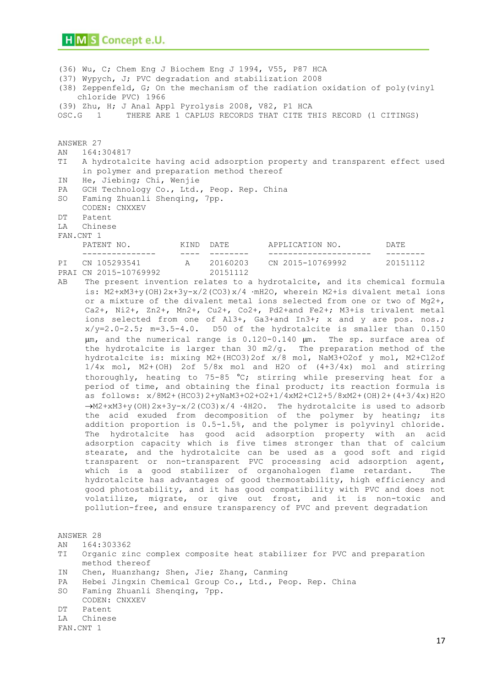(36) Wu, C; Chem Eng J Biochem Eng J 1994, V55, P87 HCA (37) Wypych, J; PVC degradation and stabilization 2008 (38) Zeppenfeld, G; On the mechanism of the radiation oxidation of poly(vinyl chloride PVC) 1966 (39) Zhu, H; J Anal Appl Pyrolysis 2008, V82, P1 HCA OSC.G 1 THERE ARE 1 CAPLUS RECORDS THAT CITE THIS RECORD (1 CITINGS)

#### ANSWER 27

- AN 164:304817
- TI A hydrotalcite having acid adsorption property and transparent effect used in polymer and preparation method thereof
- IN He, Jiebing; Chi, Wenjie
- PA GCH Technology Co., Ltd., Peop. Rep. China
- SO Faming Zhuanli Shenqing, 7pp.
- CODEN: CNXXEV
- DT Patent
- LA Chinese
- FAN.CNT 1

| PATENT NO.            | KTND. | DATE.    | APPLICATION NO.  | DATE.    |  |
|-----------------------|-------|----------|------------------|----------|--|
|                       | ---   |          |                  |          |  |
| PI CN 105293541       |       | 20160203 | CN 2015-10769992 | 20151112 |  |
| PRAI CN 2015-10769992 |       | 20151112 |                  |          |  |

AB The present invention relates to a hydrotalcite, and its chemical formula is: M2+xM3+y(OH)2x+3y-x/2(CO3)x/4 ·mH2O, wherein M2+is divalent metal ions or a mixture of the divalent metal ions selected from one or two of Mg2+, Ca2+, Ni2+, Zn2+, Mn2+, Cu2+, Co2+, Pd2+and Fe2+; M3+is trivalent metal ions selected from one of Al3+, Ga3+and In3+; x and y are pos. nos.;  $x/y=2.0-2.5$ ; m=3.5-4.0. D50 of the hydrotalcite is smaller than 0.150  $\mu$ m, and the numerical range is 0.120-0.140  $\mu$ m. The sp. surface area of the hydrotalcite is larger than 30 m2/g. The preparation method of the hydrotalcite is: mixing M2+(HCO3)2of x/8 mol, NaM3+O2of y mol, M2+Cl2of 1/4x mol, M2+(OH) 2of 5/8x mol and H2O of (4+3/4x) mol and stirring thoroughly, heating to 75-85  $^{\circ}$ C; stirring while preserving heat for a period of time, and obtaining the final product; its reaction formula is as follows: x/8M2+(HCO3)2+yNaM3+O2+O2+1/4xM2+Cl2+5/8xM2+(OH)2+(4+3/4x)H2O  $\rightarrow$ M2+xM3+y(OH)2x+3y-x/2(CO3)x/4 ·4H2O. The hydrotalcite is used to adsorb the acid exuded from decomposition of the polymer by heating; its addition proportion is 0.5-1.5%, and the polymer is polyvinyl chloride. The hydrotalcite has good acid adsorption property with an acid adsorption capacity which is five times stronger than that of calcium stearate, and the hydrotalcite can be used as a good soft and rigid transparent or non-transparent PVC processing acid adsorption agent, which is a good stabilizer of organohalogen flame retardant. The hydrotalcite has advantages of good thermostability, high efficiency and good photostability, and it has good compatibility with PVC and does not volatilize, migrate, or give out frost, and it is non-toxic and pollution-free, and ensure transparency of PVC and prevent degradation

ANSWER 28 AN 164:303362 TI Organic zinc complex composite heat stabilizer for PVC and preparation method thereof IN Chen, Huanzhang; Shen, Jie; Zhang, Canming PA Hebei Jingxin Chemical Group Co., Ltd., Peop. Rep. China SO Faming Zhuanli Shenqing, 7pp. CODEN: CNXXEV DT Patent LA Chinese FAN.CNT 1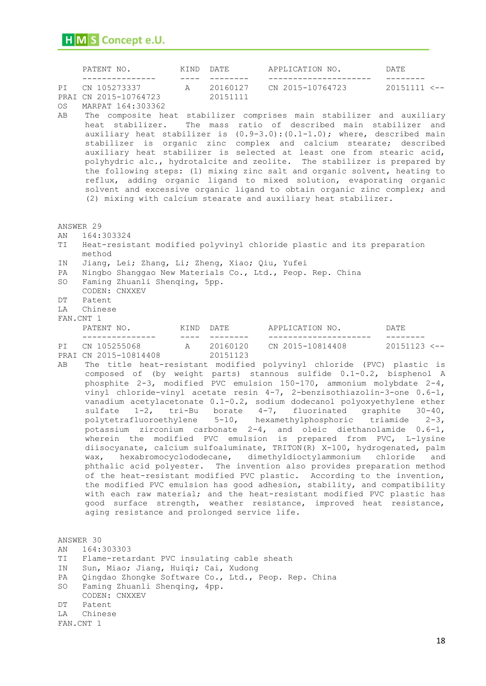| PATENT NO.            | KIND DATE |          | APPLICATION NO.  | DATE.                   |
|-----------------------|-----------|----------|------------------|-------------------------|
|                       |           |          |                  |                         |
| PI CN 105273337       | A         | 20160127 | CN 2015-10764723 | $20151111$ $\leftarrow$ |
| PRAI CN 2015-10764723 |           | 20151111 |                  |                         |
|                       |           |          |                  |                         |

OS MARPAT 164:303362

AB The composite heat stabilizer comprises main stabilizer and auxiliary heat stabilizer. The mass ratio of described main stabilizer and auxiliary heat stabilizer is (0.9-3.0):(0.1-1.0); where, described main stabilizer is organic zinc complex and calcium stearate; described auxiliary heat stabilizer is selected at least one from stearic acid, polyhydric alc., hydrotalcite and zeolite. The stabilizer is prepared by the following steps: (1) mixing zinc salt and organic solvent, heating to reflux, adding organic ligand to mixed solution, evaporating organic solvent and excessive organic ligand to obtain organic zinc complex; and (2) mixing with calcium stearate and auxiliary heat stabilizer.

ANSWER 29

- AN 164:303324
- TI Heat-resistant modified polyvinyl chloride plastic and its preparation method
- IN Jiang, Lei; Zhang, Li; Zheng, Xiao; Qiu, Yufei
- PA Ningbo Shanggao New Materials Co., Ltd., Peop. Rep. China
- SO Faming Zhuanli Shenqing, 5pp.
- CODEN: CNXXEV
- DT Patent
- LA Chinese
- FAN.CNT 1

| PATENT NO.            | KTND. | DATE     | APPLICATION NO.  | DATE.          |
|-----------------------|-------|----------|------------------|----------------|
|                       | ___   |          |                  |                |
| PI CN 105255068       |       | 20160120 | CN 2015-10814408 | $20151123$ <-- |
| PRAI CN 2015-10814408 |       | 20151123 |                  |                |

AB The title heat-resistant modified polyvinyl chloride (PVC) plastic is composed of (by weight parts) stannous sulfide 0.1-0.2, bisphenol A phosphite 2-3, modified PVC emulsion 150-170, ammonium molybdate 2-4, vinyl chloride-vinyl acetate resin 4-7, 2-benzisothiazolin-3-one 0.6-1, vanadium acetylacetonate 0.1-0.2, sodium dodecanol polyoxyethylene ether sulfate 1-2, tri-Bu borate 4-7, fluorinated graphite 30-40, polytetrafluoroethylene 5-10, hexamethylphosphoric triamide 2-3, potassium zirconium carbonate 2-4, and oleic diethanolamide 0.6-1, wherein the modified PVC emulsion is prepared from PVC, L-lysine diisocyanate, calcium sulfoaluminate, TRITON(R) X-100, hydrogenated, palm wax, hexabromocyclododecane, dimethyldioctylammonium chloride and phthalic acid polyester. The invention also provides preparation method of the heat-resistant modified PVC plastic. According to the invention, the modified PVC emulsion has good adhesion, stability, and compatibility with each raw material; and the heat-resistant modified PVC plastic has good surface strength, weather resistance, improved heat resistance, aging resistance and prolonged service life.

ANSWER 30 AN 164:303303 TI Flame-retardant PVC insulating cable sheath IN Sun, Miao; Jiang, Huiqi; Cai, Xudong PA Qingdao Zhongke Software Co., Ltd., Peop. Rep. China SO Faming Zhuanli Shenqing, 4pp. CODEN: CNXXEV DT Patent LA Chinese FAN.CNT 1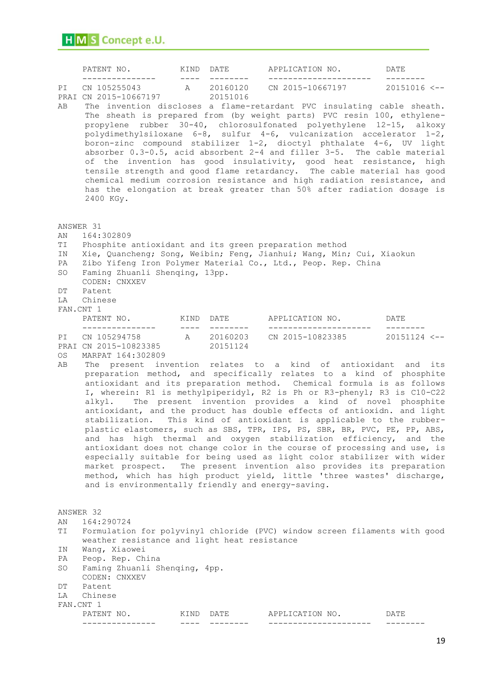|                                                                  | PATENT NO.<br>KIND DATE                                                                                                                                                                                                                                                                                                                                                                                                                                                                                                                                                                                                                                                                                                                                                                                                                                                                                                                                                                                                                                                                                                                                |               |          | APPLICATION NO.                                                                                                                                                                                                                                                                                                                                                                                                                                                                                                                                                                                                                                                                                                                                                                                                  | DATE      |  |  |  |  |
|------------------------------------------------------------------|--------------------------------------------------------------------------------------------------------------------------------------------------------------------------------------------------------------------------------------------------------------------------------------------------------------------------------------------------------------------------------------------------------------------------------------------------------------------------------------------------------------------------------------------------------------------------------------------------------------------------------------------------------------------------------------------------------------------------------------------------------------------------------------------------------------------------------------------------------------------------------------------------------------------------------------------------------------------------------------------------------------------------------------------------------------------------------------------------------------------------------------------------------|---------------|----------|------------------------------------------------------------------------------------------------------------------------------------------------------------------------------------------------------------------------------------------------------------------------------------------------------------------------------------------------------------------------------------------------------------------------------------------------------------------------------------------------------------------------------------------------------------------------------------------------------------------------------------------------------------------------------------------------------------------------------------------------------------------------------------------------------------------|-----------|--|--|--|--|
| PI<br>AВ                                                         | PRAI CN 2015-10667197<br>2400 KGy.                                                                                                                                                                                                                                                                                                                                                                                                                                                                                                                                                                                                                                                                                                                                                                                                                                                                                                                                                                                                                                                                                                                     | $\frac{1}{2}$ | 20151016 | CN 105255043 A 20160120 CN 2015-10667197 20151016 <--<br>The invention discloses a flame-retardant PVC insulating cable sheath.<br>The sheath is prepared from (by weight parts) PVC resin 100, ethylene-<br>propylene rubber 30-40, chlorosulfonated polyethylene 12-15, alkoxy<br>polydimethylsiloxane 6-8, sulfur 4-6, vulcanization accelerator 1-2,<br>boron-zinc compound stabilizer 1-2, dioctyl phthalate 4-6, UV light<br>absorber 0.3-0.5, acid absorbent 2-4 and filler 3-5. The cable material<br>of the invention has good insulativity, good heat resistance, high<br>tensile strength and good flame retardancy. The cable material has good<br>chemical medium corrosion resistance and high radiation resistance, and<br>has the elongation at break greater than 50% after radiation dosage is |           |  |  |  |  |
| ANSWER 31<br>ΑN<br>ТI<br>ΙN<br>PA<br>SO<br>DΤ<br>LA<br>FAN.CNT 1 | 164:302809<br>Phosphite antioxidant and its green preparation method<br>Faming Zhuanli Shenging, 13pp.<br>CODEN: CNXXEV<br>Patent<br>Chinese                                                                                                                                                                                                                                                                                                                                                                                                                                                                                                                                                                                                                                                                                                                                                                                                                                                                                                                                                                                                           |               |          | Xie, Quancheng; Song, Weibin; Feng, Jianhui; Wang, Min; Cui, Xiaokun<br>Zibo Yifeng Iron Polymer Material Co., Ltd., Peop. Rep. China                                                                                                                                                                                                                                                                                                                                                                                                                                                                                                                                                                                                                                                                            |           |  |  |  |  |
|                                                                  |                                                                                                                                                                                                                                                                                                                                                                                                                                                                                                                                                                                                                                                                                                                                                                                                                                                                                                                                                                                                                                                                                                                                                        |               |          |                                                                                                                                                                                                                                                                                                                                                                                                                                                                                                                                                                                                                                                                                                                                                                                                                  | --------- |  |  |  |  |
| OS<br>AВ                                                         | PI CN 105294758 A 20160203 CN 2015-10823385 20151124 <---<br>PRAI CN 2015-10823385 20151124<br>MARPAT 164:302809<br>The present invention relates to a kind of antioxidant and its<br>preparation method, and specifically relates to a kind of phosphite<br>antioxidant and its preparation method. Chemical formula is as follows<br>I, wherein: R1 is methylpiperidyl, R2 is Ph or R3-phenyl; R3 is C10-C22<br>alkyl. The present invention provides a kind of novel phosphite<br>antioxidant, and the product has double effects of antioxidn. and light<br>stabilization. This kind of antioxidant is applicable to the rubber-<br>plastic elastomers, such as SBS, TPR, IPS, PS, SBR, BR, PVC, PE, PP, ABS,<br>and has high thermal and oxygen stabilization efficiency, and the<br>antioxidant does not change color in the course of processing and use, is<br>especially suitable for being used as light color stabilizer with wider<br>market prospect. The present invention also provides its preparation<br>method, which has high product yield, little 'three wastes' discharge,<br>and is environmentally friendly and energy-saving. |               |          |                                                                                                                                                                                                                                                                                                                                                                                                                                                                                                                                                                                                                                                                                                                                                                                                                  |           |  |  |  |  |
| ANSWER 32<br>ΑN<br>TI                                            | 164:290724                                                                                                                                                                                                                                                                                                                                                                                                                                                                                                                                                                                                                                                                                                                                                                                                                                                                                                                                                                                                                                                                                                                                             |               |          | Formulation for polyvinyl chloride (PVC) window screen filaments with good                                                                                                                                                                                                                                                                                                                                                                                                                                                                                                                                                                                                                                                                                                                                       |           |  |  |  |  |
| ΙN<br>PA<br>SO<br>DΤ<br>LA<br>FAN.CNT 1                          | weather resistance and light heat resistance<br>Wang, Xiaowei<br>Peop. Rep. China<br>Faming Zhuanli Shenqing, 4pp.<br>CODEN: CNXXEV<br>Patent<br>Chinese<br>PATENT NO.                                                                                                                                                                                                                                                                                                                                                                                                                                                                                                                                                                                                                                                                                                                                                                                                                                                                                                                                                                                 | KIND DATE     |          | APPLICATION NO.                                                                                                                                                                                                                                                                                                                                                                                                                                                                                                                                                                                                                                                                                                                                                                                                  | DATE      |  |  |  |  |
|                                                                  | -------------                                                                                                                                                                                                                                                                                                                                                                                                                                                                                                                                                                                                                                                                                                                                                                                                                                                                                                                                                                                                                                                                                                                                          |               |          |                                                                                                                                                                                                                                                                                                                                                                                                                                                                                                                                                                                                                                                                                                                                                                                                                  |           |  |  |  |  |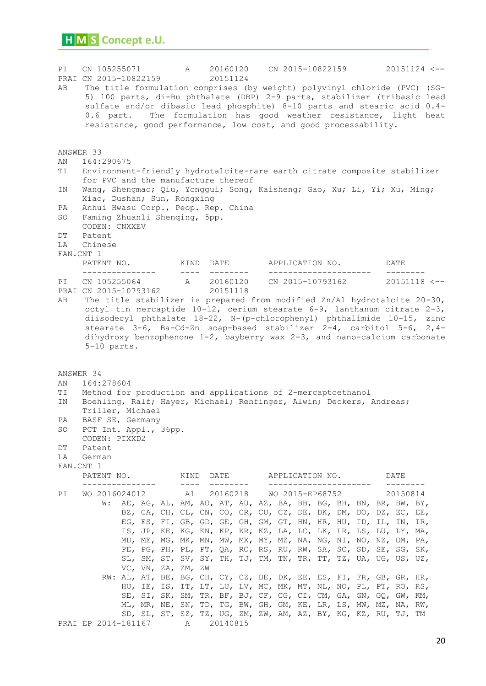PI CN 105255071 A 20160120 CN 2015-10822159 20151124 <-- PRAI CN 2015-10822159 20151124 AB The title formulation comprises (by weight) polyvinyl chloride (PVC) (SG-5) 100 parts, di-Bu phthalate (DBP) 2-9 parts, stabilizer (tribasic lead sulfate and/or dibasic lead phosphite) 8-10 parts and stearic acid 0.4- 0.6 part. The formulation has good weather resistance, light heat resistance, good performance, low cost, and good processability. ANSWER 33 AN 164:290675 TI Environment-friendly hydrotalcite-rare earth citrate composite stabilizer for PVC and the manufacture thereof IN Wang, Shengmao; Qiu, Yonggui; Song, Kaisheng; Gao, Xu; Li, Yi; Xu, Ming; Xiao, Dushan; Sun, Rongxing PA Anhui Hwasu Corp., Peop. Rep. China SO Faming Zhuanli Shenqing, 5pp. CODEN: CNXXEV DT Patent LA Chinese FAN.CNT 1 PATENT NO. KIND DATE APPLICATION NO. DATE --------------- ---- -------- --------------------- -------- A 20160120 CN 2015-10793162 20151118 <--PRAI CN 2015-10793162 20151118 AB The title stabilizer is prepared from modified Zn/Al hydrotalcite 20-30, octyl tin mercaptide 10-12, cerium stearate 6-9, lanthanum citrate 2-3, diisodecyl phthalate 18-22, N-(p-chlorophenyl) phthalimide 10-15, zinc stearate 3-6, Ba-Cd-Zn soap-based stabilizer 2-4, carbitol 5-6, 2,4 dihydroxy benzophenone 1-2, bayberry wax 2-3, and nano-calcium carbonate 5-10 parts. ANSWER 34 AN 164:278604 TI Method for production and applications of 2-mercaptoethanol IN Boehling, Ralf; Hayer, Michael; Rehfinger, Alwin; Deckers, Andreas; Triller, Michael PA BASF SE, Germany SO PCT Int. Appl., 36pp. CODEN: PIXXD2 DT Patent LA German FAN.CNT 1 PATENT NO. KIND DATE APPLICATION NO. DATE --------------- ---- -------- --------------------- -------- PI WO 2016024012 A1 20160218 WO 2015-EP68752 20150814 W: AE, AG, AL, AM, AO, AT, AU, AZ, BA, BB, BG, BH, BN, BR, BW, BY, BZ, CA, CH, CL, CN, CO, CR, CU, CZ, DE, DK, DM, DO, DZ, EC, EE, EG, ES, FI, GB, GD, GE, GH, GM, GT, HN, HR, HU, ID, IL, IN, IR, IS, JP, KE, KG, KN, KP, KR, KZ, LA, LC, LK, LR, LS, LU, LY, MA, MD, ME, MG, MK, MN, MW, MX, MY, MZ, NA, NG, NI, NO, NZ, OM, PA, PE, PG, PH, PL, PT, QA, RO, RS, RU, RW, SA, SC, SD, SE, SG, SK, SL, SM, ST, SV, SY, TH, TJ, TM, TN, TR, TT, TZ, UA, UG, US, UZ, VC, VN, ZA, ZM, ZW RW: AL, AT, BE, BG, CH, CY, CZ, DE, DK, EE, ES, FI, FR, GB, GR, HR, HU, IE, IS, IT, LT, LU, LV, MC, MK, MT, NL, NO, PL, PT, RO, RS, SE, SI, SK, SM, TR, BF, BJ, CF, CG, CI, CM, GA, GN, GQ, GW, KM, ML, MR, NE, SN, TD, TG, BW, GH, GM, KE, LR, LS, MW, MZ, NA, RW, SD, SL, ST, SZ, TZ, UG, ZM, ZW, AM, AZ, BY, KG, KZ, RU, TJ, TM PRAI EP 2014-181167 A 20140815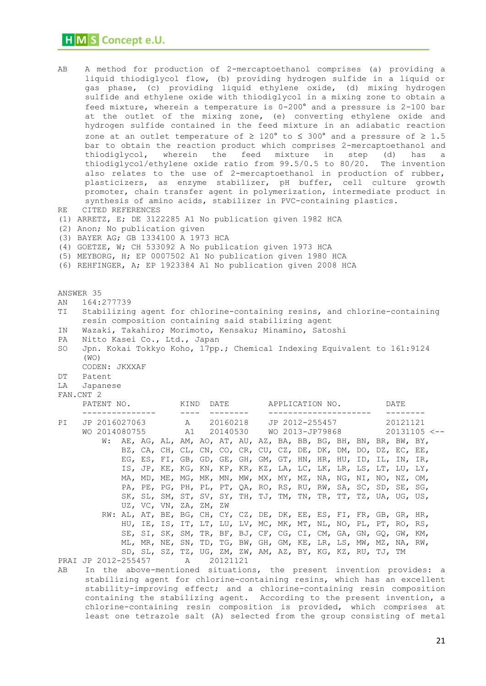| AВ<br>RE<br>(2)<br>ΆN<br>ΤI<br>ΙN<br>PA | A method for production of 2-mercaptoethanol comprises (a) providing a<br>liquid thiodiglycol flow, (b) providing hydrogen sulfide in a liquid or<br>gas phase, (c) providing liquid ethylene oxide, (d) mixing hydrogen<br>sulfide and ethylene oxide with thiodiglycol in a mixing zone to obtain a<br>feed mixture, wherein a temperature is 0-200° and a pressure is 2-100 bar<br>at the outlet of the mixing zone, (e) converting ethylene oxide and<br>hydrogen sulfide contained in the feed mixture in an adiabatic reaction<br>zone at an outlet temperature of $\geq 120^{\circ}$ to $\leq 300^{\circ}$ and a pressure of $\geq 1.5$<br>bar to obtain the reaction product which comprises 2-mercaptoethanol and<br>wherein the<br>feed<br>mixture<br>thiodiglycol,<br>in<br>step<br>(d)<br>has<br>a<br>thiodiglycol/ethylene oxide ratio from 99.5/0.5 to 80/20.<br>The invention<br>also relates to the use of 2-mercaptoethanol in production of rubber,<br>plasticizers, as enzyme stabilizer, pH buffer, cell culture growth<br>promoter, chain transfer agent in polymerization, intermediate product in<br>synthesis of amino acids, stabilizer in PVC-containing plastics.<br>CITED REFERENCES<br>(1) ARRETZ, E; DE 3122285 A1 No publication given 1982 HCA<br>Anon; No publication given<br>(3) BAYER AG; GB 1334100 A 1973 HCA<br>(4) GOETZE, W; CH 533092 A No publication given 1973 HCA<br>(5) MEYBORG, H; EP 0007502 A1 No publication given 1980 HCA<br>(6) REHFINGER, A; EP 1923384 A1 No publication given 2008 HCA<br>ANSWER 35<br>164:277739<br>Stabilizing agent for chlorine-containing resins, and chlorine-containing<br>resin composition containing said stabilizing agent<br>Wazaki, Takahiro; Morimoto, Kensaku; Minamino, Satoshi<br>Nitto Kasei Co., Ltd., Japan<br>Jpn. Kokai Tokkyo Koho, 17pp.; Chemical Indexing Equivalent to 161:9124<br>SO |     |  |  |  |                        |  |          |                                                                                                                                    |                |                 |  |  |  |          |      |                                                                          |  |
|-----------------------------------------|-------------------------------------------------------------------------------------------------------------------------------------------------------------------------------------------------------------------------------------------------------------------------------------------------------------------------------------------------------------------------------------------------------------------------------------------------------------------------------------------------------------------------------------------------------------------------------------------------------------------------------------------------------------------------------------------------------------------------------------------------------------------------------------------------------------------------------------------------------------------------------------------------------------------------------------------------------------------------------------------------------------------------------------------------------------------------------------------------------------------------------------------------------------------------------------------------------------------------------------------------------------------------------------------------------------------------------------------------------------------------------------------------------------------------------------------------------------------------------------------------------------------------------------------------------------------------------------------------------------------------------------------------------------------------------------------------------------------------------------------------------------------------------------------------------------------------------------------------------------------------------------------|-----|--|--|--|------------------------|--|----------|------------------------------------------------------------------------------------------------------------------------------------|----------------|-----------------|--|--|--|----------|------|--------------------------------------------------------------------------|--|
|                                         | (WO)                                                                                                                                                                                                                                                                                                                                                                                                                                                                                                                                                                                                                                                                                                                                                                                                                                                                                                                                                                                                                                                                                                                                                                                                                                                                                                                                                                                                                                                                                                                                                                                                                                                                                                                                                                                                                                                                                      |     |  |  |  |                        |  |          |                                                                                                                                    |                |                 |  |  |  |          |      |                                                                          |  |
| DΤ                                      | CODEN: JKXXAF<br>Patent                                                                                                                                                                                                                                                                                                                                                                                                                                                                                                                                                                                                                                                                                                                                                                                                                                                                                                                                                                                                                                                                                                                                                                                                                                                                                                                                                                                                                                                                                                                                                                                                                                                                                                                                                                                                                                                                   |     |  |  |  |                        |  |          |                                                                                                                                    |                |                 |  |  |  |          |      |                                                                          |  |
| LA                                      | Japanese<br>FAN.CNT 2                                                                                                                                                                                                                                                                                                                                                                                                                                                                                                                                                                                                                                                                                                                                                                                                                                                                                                                                                                                                                                                                                                                                                                                                                                                                                                                                                                                                                                                                                                                                                                                                                                                                                                                                                                                                                                                                     |     |  |  |  |                        |  |          |                                                                                                                                    |                |                 |  |  |  |          |      |                                                                          |  |
|                                         | PATENT NO. KIND DATE                                                                                                                                                                                                                                                                                                                                                                                                                                                                                                                                                                                                                                                                                                                                                                                                                                                                                                                                                                                                                                                                                                                                                                                                                                                                                                                                                                                                                                                                                                                                                                                                                                                                                                                                                                                                                                                                      |     |  |  |  |                        |  |          |                                                                                                                                    |                | APPLICATION NO. |  |  |  |          | DATE |                                                                          |  |
| PI                                      | JP 2016027063                                                                                                                                                                                                                                                                                                                                                                                                                                                                                                                                                                                                                                                                                                                                                                                                                                                                                                                                                                                                                                                                                                                                                                                                                                                                                                                                                                                                                                                                                                                                                                                                                                                                                                                                                                                                                                                                             |     |  |  |  | $- - - -$<br>A         |  | 20160218 |                                                                                                                                    | JP 2012-255457 |                 |  |  |  | 20121121 |      |                                                                          |  |
|                                         |                                                                                                                                                                                                                                                                                                                                                                                                                                                                                                                                                                                                                                                                                                                                                                                                                                                                                                                                                                                                                                                                                                                                                                                                                                                                                                                                                                                                                                                                                                                                                                                                                                                                                                                                                                                                                                                                                           |     |  |  |  |                        |  |          |                                                                                                                                    |                |                 |  |  |  |          |      | WO 2014080755 A1 20140530 WO 2013-JP79868 20131105 <--                   |  |
|                                         |                                                                                                                                                                                                                                                                                                                                                                                                                                                                                                                                                                                                                                                                                                                                                                                                                                                                                                                                                                                                                                                                                                                                                                                                                                                                                                                                                                                                                                                                                                                                                                                                                                                                                                                                                                                                                                                                                           | W : |  |  |  |                        |  |          | AE, AG, AL, AM, AO, AT, AU, AZ, BA, BB, BG, BH, BN, BR, BW, BY,<br>BZ, CA, CH, CL, CN, CO, CR, CU, CZ, DE, DK, DM, DO, DZ, EC, EE, |                |                 |  |  |  |          |      |                                                                          |  |
|                                         |                                                                                                                                                                                                                                                                                                                                                                                                                                                                                                                                                                                                                                                                                                                                                                                                                                                                                                                                                                                                                                                                                                                                                                                                                                                                                                                                                                                                                                                                                                                                                                                                                                                                                                                                                                                                                                                                                           |     |  |  |  |                        |  |          | EG, ES, FI, GB, GD, GE, GH, GM, GT, HN, HR, HU, ID, IL, IN, IR,                                                                    |                |                 |  |  |  |          |      |                                                                          |  |
|                                         |                                                                                                                                                                                                                                                                                                                                                                                                                                                                                                                                                                                                                                                                                                                                                                                                                                                                                                                                                                                                                                                                                                                                                                                                                                                                                                                                                                                                                                                                                                                                                                                                                                                                                                                                                                                                                                                                                           |     |  |  |  |                        |  |          | IS, JP, KE, KG, KN, KP, KR, KZ, LA, LC, LK, LR, LS, LT, LU, LY,                                                                    |                |                 |  |  |  |          |      |                                                                          |  |
|                                         |                                                                                                                                                                                                                                                                                                                                                                                                                                                                                                                                                                                                                                                                                                                                                                                                                                                                                                                                                                                                                                                                                                                                                                                                                                                                                                                                                                                                                                                                                                                                                                                                                                                                                                                                                                                                                                                                                           |     |  |  |  |                        |  |          | MA, MD, ME, MG, MK, MN, MW, MX, MY, MZ, NA, NG, NI, NO, NZ, OM,                                                                    |                |                 |  |  |  |          |      |                                                                          |  |
|                                         |                                                                                                                                                                                                                                                                                                                                                                                                                                                                                                                                                                                                                                                                                                                                                                                                                                                                                                                                                                                                                                                                                                                                                                                                                                                                                                                                                                                                                                                                                                                                                                                                                                                                                                                                                                                                                                                                                           |     |  |  |  |                        |  |          | PA, PE, PG, PH, PL, PT, QA, RO, RS, RU, RW, SA, SC, SD, SE, SG,                                                                    |                |                 |  |  |  |          |      |                                                                          |  |
|                                         |                                                                                                                                                                                                                                                                                                                                                                                                                                                                                                                                                                                                                                                                                                                                                                                                                                                                                                                                                                                                                                                                                                                                                                                                                                                                                                                                                                                                                                                                                                                                                                                                                                                                                                                                                                                                                                                                                           |     |  |  |  | UZ, VC, VN, ZA, ZM, ZW |  |          | SK, SL, SM, ST, SV, SY, TH, TJ, TM, TN, TR, TT, TZ, UA, UG, US,                                                                    |                |                 |  |  |  |          |      |                                                                          |  |
|                                         |                                                                                                                                                                                                                                                                                                                                                                                                                                                                                                                                                                                                                                                                                                                                                                                                                                                                                                                                                                                                                                                                                                                                                                                                                                                                                                                                                                                                                                                                                                                                                                                                                                                                                                                                                                                                                                                                                           |     |  |  |  |                        |  |          | RW: AL, AT, BE, BG, CH, CY, CZ, DE, DK, EE, ES, FI, FR, GB, GR, HR,                                                                |                |                 |  |  |  |          |      |                                                                          |  |
|                                         |                                                                                                                                                                                                                                                                                                                                                                                                                                                                                                                                                                                                                                                                                                                                                                                                                                                                                                                                                                                                                                                                                                                                                                                                                                                                                                                                                                                                                                                                                                                                                                                                                                                                                                                                                                                                                                                                                           |     |  |  |  |                        |  |          | HU, IE, IS, IT, LT, LU, LV, MC, MK, MT, NL, NO, PL, PT, RO, RS,                                                                    |                |                 |  |  |  |          |      |                                                                          |  |
|                                         |                                                                                                                                                                                                                                                                                                                                                                                                                                                                                                                                                                                                                                                                                                                                                                                                                                                                                                                                                                                                                                                                                                                                                                                                                                                                                                                                                                                                                                                                                                                                                                                                                                                                                                                                                                                                                                                                                           |     |  |  |  |                        |  |          | SE, SI, SK, SM, TR, BF, BJ, CF, CG, CI, CM, GA, GN, GQ, GW, KM,                                                                    |                |                 |  |  |  |          |      |                                                                          |  |
|                                         |                                                                                                                                                                                                                                                                                                                                                                                                                                                                                                                                                                                                                                                                                                                                                                                                                                                                                                                                                                                                                                                                                                                                                                                                                                                                                                                                                                                                                                                                                                                                                                                                                                                                                                                                                                                                                                                                                           |     |  |  |  |                        |  |          | ML, MR, NE, SN, TD, TG, BW, GH, GM, KE, LR, LS, MW, MZ, NA, RW,                                                                    |                |                 |  |  |  |          |      |                                                                          |  |
|                                         | PRAI JP 2012-255457                                                                                                                                                                                                                                                                                                                                                                                                                                                                                                                                                                                                                                                                                                                                                                                                                                                                                                                                                                                                                                                                                                                                                                                                                                                                                                                                                                                                                                                                                                                                                                                                                                                                                                                                                                                                                                                                       |     |  |  |  | Α                      |  | 20121121 | SD, SL, SZ, TZ, UG, ZM, ZW, AM, AZ, BY, KG, KZ, RU, TJ, TM                                                                         |                |                 |  |  |  |          |      |                                                                          |  |
| AВ                                      | In                                                                                                                                                                                                                                                                                                                                                                                                                                                                                                                                                                                                                                                                                                                                                                                                                                                                                                                                                                                                                                                                                                                                                                                                                                                                                                                                                                                                                                                                                                                                                                                                                                                                                                                                                                                                                                                                                        |     |  |  |  |                        |  |          |                                                                                                                                    |                |                 |  |  |  |          |      | the above-mentioned situations, the present invention provides: a        |  |
|                                         |                                                                                                                                                                                                                                                                                                                                                                                                                                                                                                                                                                                                                                                                                                                                                                                                                                                                                                                                                                                                                                                                                                                                                                                                                                                                                                                                                                                                                                                                                                                                                                                                                                                                                                                                                                                                                                                                                           |     |  |  |  |                        |  |          |                                                                                                                                    |                |                 |  |  |  |          |      | stabilizing agent for chlorine-containing resins, which has an excellent |  |

stability-improving effect; and a chlorine-containing resin composition containing the stabilizing agent. According to the present invention, a chlorine-containing resin composition is provided, which comprises at least one tetrazole salt (A) selected from the group consisting of metal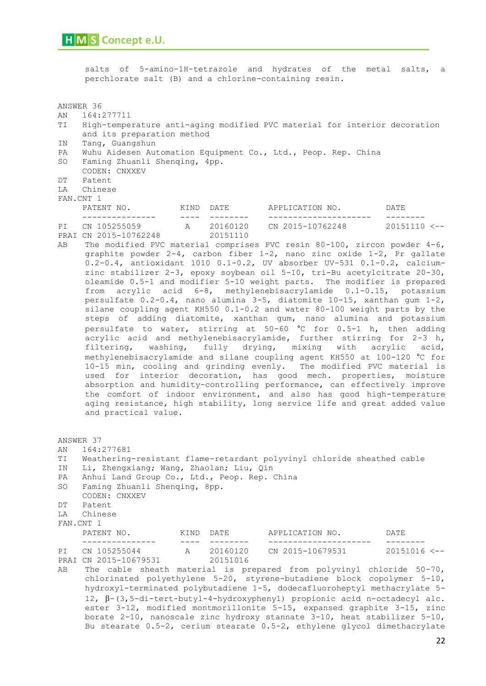salts of 5-amino-1H-tetrazole and hydrates of the metal salts, a perchlorate salt (B) and a chlorine-containing resin. ANSWER 36 AN 164:277711 TI High-temperature anti-aging modified PVC material for interior decoration and its preparation method IN Tang, Guangshun PA Wuhu Aidesen Automation Equipment Co., Ltd., Peop. Rep. China SO Faming Zhuanli Shenqing, 4pp. CODEN: CNXXEV DT Patent LA Chinese FAN.CNT 1 PATENT NO. KIND DATE APPLICATION NO. DATE --------------- ---- -------- --------------------- -------- PI CN 105255059 A 20160120 CN 2015-10762248 20151110 <-- PRAI CN 2015-10762248 20151110 AB The modified PVC material comprises PVC resin 80-100, zircon powder 4-6, graphite powder 2-4, carbon fiber 1-2, nano zinc oxide 1-2, Pr gallate 0.2-0.4, antioxidant 1010 0.1-0.2, UV absorber UV-531 0.1-0.2, calciumzinc stabilizer 2-3, epoxy soybean oil 5-10, tri-Bu acetylcitrate 20-30, oleamide 0.5-1 and modifier 5-10 weight parts. The modifier is prepared from acrylic acid 6-8, methylenebisacrylamide 0.1-0.15, potassium persulfate 0.2-0.4, nano alumina 3-5, diatomite 10-15, xanthan gum 1-2, silane coupling agent KH550 0.1-0.2 and water 80-100 weight parts by the steps of adding diatomite, xanthan gum, nano alumina and potassium persulfate to water, stirring at 50-60 °C for 0.5-1 h, then adding acrylic acid and methylenebisacrylamide, further stirring for 2-3 h, filtering, washing, fully drying, mixing with acrylic acid, methylenebisacrylamide and silane coupling agent KH550 at 100-120 °C for 10-15 min, cooling and grinding evenly. The modified PVC material is used for interior decoration, has good mech. properties, moisture absorption and humidity-controlling performance, can effectively improve the comfort of indoor environment, and also has good high-temperature aging resistance, high stability, long service life and great added value and practical value. ANSWER 37 AN 164:277681 TI Weathering-resistant flame-retardant polyvinyl chloride sheathed cable IN Li, Zhengxiang; Wang, Zhaolan; Liu, Qin PA Anhui Land Group Co., Ltd., Peop. Rep. China SO Faming Zhuanli Shenqing, 8pp. CODEN: CNXXEV

- DT Patent
- LA Chinese
- FAN.CNT 1
- 

| PATENT NO.            | K T N D | DATE.    | APPLICATION NO.  | DATE.                   |
|-----------------------|---------|----------|------------------|-------------------------|
|                       |         |          |                  |                         |
| PI CN 105255044       |         | 20160120 | CN 2015-10679531 | $20151016$ $\leftarrow$ |
| PRAI CN 2015-10679531 |         | 20151016 |                  |                         |

AB The cable sheath material is prepared from polyvinyl chloride 50-70, chlorinated polyethylene 5-20, styrene-butadiene block copolymer 5-10, hydroxyl-terminated polybutadiene 1-5, dodecafluoroheptyl methacrylate 5-  $12, \beta-(3,5-di-tert-butyl-4-hydroxyphenyl)$  propionic acid n-octadecyl alc. ester 3-12, modified montmorillonite 5-15, expansed graphite 3-15, zinc borate 2-10, nanoscale zinc hydroxy stannate 3-10, heat stabilizer 5-10, Bu stearate 0.5-2, cerium stearate 0.5-2, ethylene glycol dimethacrylate